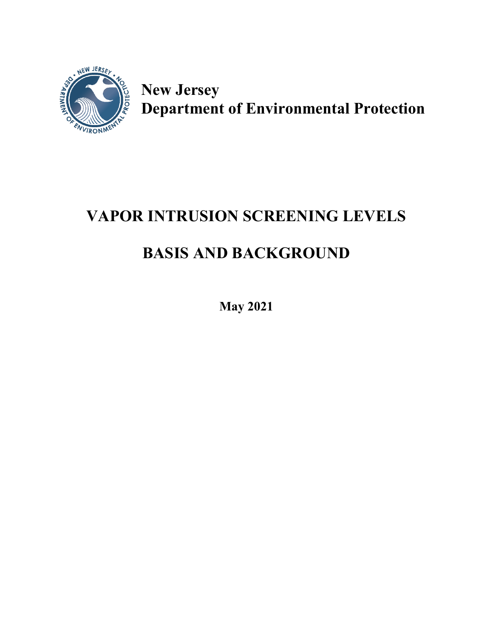

**New Jersey Department of Environmental Protection**

# **VAPOR INTRUSION SCREENING LEVELS**

# **BASIS AND BACKGROUND**

**May 2021**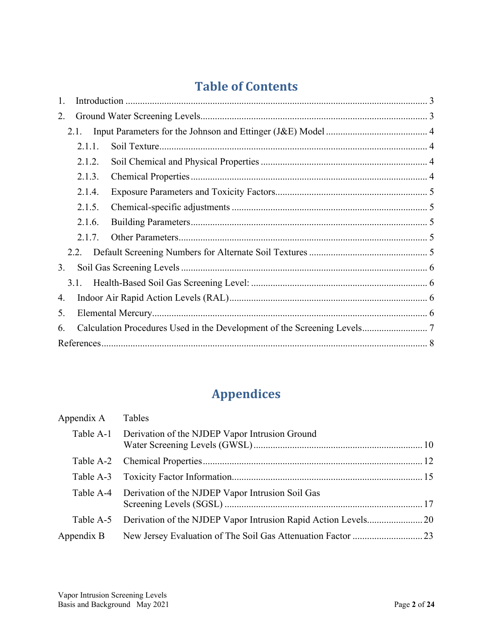# **Table of Contents**

| 1. |        |  |  |  |  |  |  |  |
|----|--------|--|--|--|--|--|--|--|
| 2. |        |  |  |  |  |  |  |  |
|    | 2.1.   |  |  |  |  |  |  |  |
|    | 2.1.1. |  |  |  |  |  |  |  |
|    | 2.1.2. |  |  |  |  |  |  |  |
|    | 2.1.3. |  |  |  |  |  |  |  |
|    | 2.1.4. |  |  |  |  |  |  |  |
|    | 2.1.5. |  |  |  |  |  |  |  |
|    | 2.1.6. |  |  |  |  |  |  |  |
|    | 2.1.7. |  |  |  |  |  |  |  |
|    | 2.2.   |  |  |  |  |  |  |  |
| 3. |        |  |  |  |  |  |  |  |
|    | 3.1.   |  |  |  |  |  |  |  |
| 4. |        |  |  |  |  |  |  |  |
| 5. |        |  |  |  |  |  |  |  |
| 6. |        |  |  |  |  |  |  |  |
|    |        |  |  |  |  |  |  |  |

# **Appendices**

| Appendix A Tables |                                                            |  |
|-------------------|------------------------------------------------------------|--|
|                   | Table A-1 Derivation of the NJDEP Vapor Intrusion Ground   |  |
|                   |                                                            |  |
|                   |                                                            |  |
|                   | Table A-4 Derivation of the NJDEP Vapor Intrusion Soil Gas |  |
|                   |                                                            |  |
| Appendix B        |                                                            |  |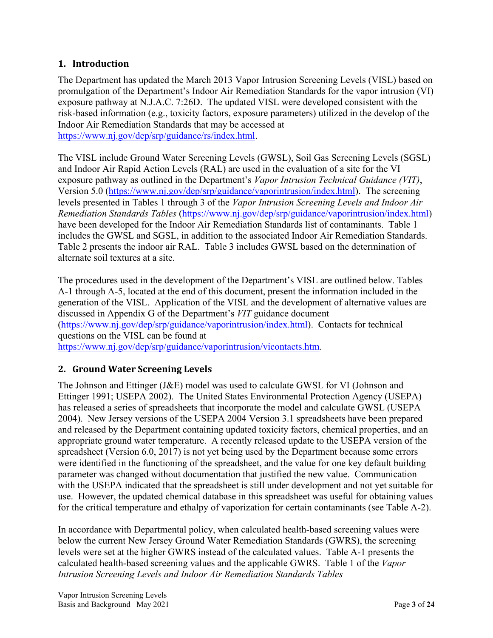#### <span id="page-2-0"></span>**1. Introduction**

The Department has updated the March 2013 Vapor Intrusion Screening Levels (VISL) based on promulgation of the Department's Indoor Air Remediation Standards for the vapor intrusion (VI) exposure pathway at N.J.A.C. 7:26D. The updated VISL were developed consistent with the risk-based information (e.g., toxicity factors, exposure parameters) utilized in the develop of the Indoor Air Remediation Standards that may be accessed at [https://www.nj.gov/dep/srp/guidance/rs/index.html.](https://www.nj.gov/dep/srp/guidance/rs/index.html)

The VISL include Ground Water Screening Levels (GWSL), Soil Gas Screening Levels (SGSL) and Indoor Air Rapid Action Levels (RAL) are used in the evaluation of a site for the VI exposure pathway as outlined in the Department's *Vapor Intrusion Technical Guidance (VIT)*, Version 5.0 [\(https://www.nj.gov/dep/srp/guidance/vaporintrusion/index.html\)](https://www.nj.gov/dep/srp/guidance/vaporintrusion/index.html). The screening levels presented in Tables 1 through 3 of the *Vapor Intrusion Screening Levels and Indoor Air Remediation Standards Tables* [\(https://www.nj.gov/dep/srp/guidance/vaporintrusion/index.html\)](https://www.nj.gov/dep/srp/guidance/vaporintrusion/index.html) have been developed for the Indoor Air Remediation Standards list of contaminants. Table 1 includes the GWSL and SGSL, in addition to the associated Indoor Air Remediation Standards. Table 2 presents the indoor air RAL. Table 3 includes GWSL based on the determination of alternate soil textures at a site.

The procedures used in the development of the Department's VISL are outlined below. Tables A-1 through A-5, located at the end of this document, present the information included in the generation of the VISL. Application of the VISL and the development of alternative values are discussed in Appendix G of the Department's *VIT* guidance document [\(https://www.nj.gov/dep/srp/guidance/vaporintrusion/index.html\)](https://www.nj.gov/dep/srp/guidance/vaporintrusion/index.html). Contacts for technical questions on the VISL can be found at [https://www.nj.gov/dep/srp/guidance/vaporintrusion/vicontacts.htm.](https://www.nj.gov/dep/srp/guidance/vaporintrusion/vicontacts.htm)

#### <span id="page-2-1"></span>**2. Ground Water Screening Levels**

The Johnson and Ettinger (J&E) model was used to calculate GWSL for VI (Johnson and Ettinger 1991; USEPA 2002). The United States Environmental Protection Agency (USEPA) has released a series of spreadsheets that incorporate the model and calculate GWSL (USEPA 2004). New Jersey versions of the USEPA 2004 Version 3.1 spreadsheets have been prepared and released by the Department containing updated toxicity factors, chemical properties, and an appropriate ground water temperature. A recently released update to the USEPA version of the spreadsheet (Version 6.0, 2017) is not yet being used by the Department because some errors were identified in the functioning of the spreadsheet, and the value for one key default building parameter was changed without documentation that justified the new value. Communication with the USEPA indicated that the spreadsheet is still under development and not yet suitable for use. However, the updated chemical database in this spreadsheet was useful for obtaining values for the critical temperature and ethalpy of vaporization for certain contaminants (see Table A-2).

In accordance with Departmental policy, when calculated health-based screening values were below the current New Jersey Ground Water Remediation Standards (GWRS), the screening levels were set at the higher GWRS instead of the calculated values. Table A-1 presents the calculated health-based screening values and the applicable GWRS. Table 1 of the *Vapor Intrusion Screening Levels and Indoor Air Remediation Standards Tables*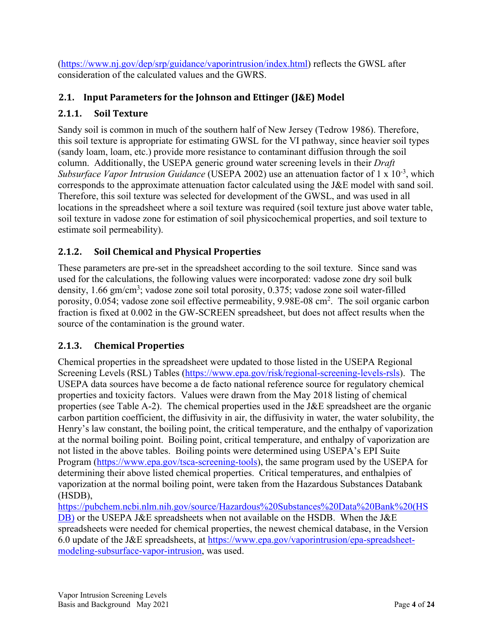[\(https://www.nj.gov/dep/srp/guidance/vaporintrusion/index.html\)](https://www.nj.gov/dep/srp/guidance/vaporintrusion/index.html) reflects the GWSL after consideration of the calculated values and the GWRS.

### <span id="page-3-0"></span>**2.1. Input Parameters for the Johnson and Ettinger (J&E) Model**

#### <span id="page-3-1"></span>**2.1.1. Soil Texture**

Sandy soil is common in much of the southern half of New Jersey (Tedrow 1986). Therefore, this soil texture is appropriate for estimating GWSL for the VI pathway, since heavier soil types (sandy loam, loam, etc.) provide more resistance to contaminant diffusion through the soil column. Additionally, the USEPA generic ground water screening levels in their *Draft*  Subsurface Vapor Intrusion Guidance (USEPA 2002) use an attenuation factor of 1 x 10<sup>-3</sup>, which corresponds to the approximate attenuation factor calculated using the J&E model with sand soil. Therefore, this soil texture was selected for development of the GWSL, and was used in all locations in the spreadsheet where a soil texture was required (soil texture just above water table, soil texture in vadose zone for estimation of soil physicochemical properties, and soil texture to estimate soil permeability).

### <span id="page-3-2"></span>**2.1.2. Soil Chemical and Physical Properties**

These parameters are pre-set in the spreadsheet according to the soil texture. Since sand was used for the calculations, the following values were incorporated: vadose zone dry soil bulk density, 1.66 gm/cm<sup>3</sup>; vadose zone soil total porosity, 0.375; vadose zone soil water-filled porosity, 0.054; vadose zone soil effective permeability, 9.98E-08 cm<sup>2</sup>. The soil organic carbon fraction is fixed at 0.002 in the GW-SCREEN spreadsheet, but does not affect results when the source of the contamination is the ground water.

### <span id="page-3-3"></span>**2.1.3. Chemical Properties**

Chemical properties in the spreadsheet were updated to those listed in the USEPA Regional Screening Levels (RSL) Tables [\(https://www.epa.gov/risk/regional-screening-levels-rsls\)](https://www.epa.gov/risk/regional-screening-levels-rsls). The USEPA data sources have become a de facto national reference source for regulatory chemical properties and toxicity factors. Values were drawn from the May 2018 listing of chemical properties (see Table A-2). The chemical properties used in the J&E spreadsheet are the organic carbon partition coefficient, the diffusivity in air, the diffusivity in water, the water solubility, the Henry's law constant, the boiling point, the critical temperature, and the enthalpy of vaporization at the normal boiling point. Boiling point, critical temperature, and enthalpy of vaporization are not listed in the above tables. Boiling points were determined using USEPA's EPI Suite Program [\(https://www.epa.gov/tsca-screening-tools\)](https://www.epa.gov/tsca-screening-tools), the same program used by the USEPA for determining their above listed chemical properties. Critical temperatures, and enthalpies of vaporization at the normal boiling point, were taken from the Hazardous Substances Databank (HSDB),

[https://pubchem.ncbi.nlm.nih.gov/source/Hazardous%20Substances%20Data%20Bank%20\(HS](https://pubchem.ncbi.nlm.nih.gov/source/Hazardous%20Substances%20Data%20Bank%20(HSDB)) [DB\)](https://pubchem.ncbi.nlm.nih.gov/source/Hazardous%20Substances%20Data%20Bank%20(HSDB)) or the USEPA J&E spreadsheets when not available on the HSDB. When the J&E spreadsheets were needed for chemical properties, the newest chemical database, in the Version 6.0 update of the J&E spreadsheets, at [https://www.epa.gov/vaporintrusion/epa-spreadsheet](https://www.epa.gov/vaporintrusion/epa-spreadsheet-modeling-subsurface-vapor-intrusion)[modeling-subsurface-vapor-intrusion,](https://www.epa.gov/vaporintrusion/epa-spreadsheet-modeling-subsurface-vapor-intrusion) was used.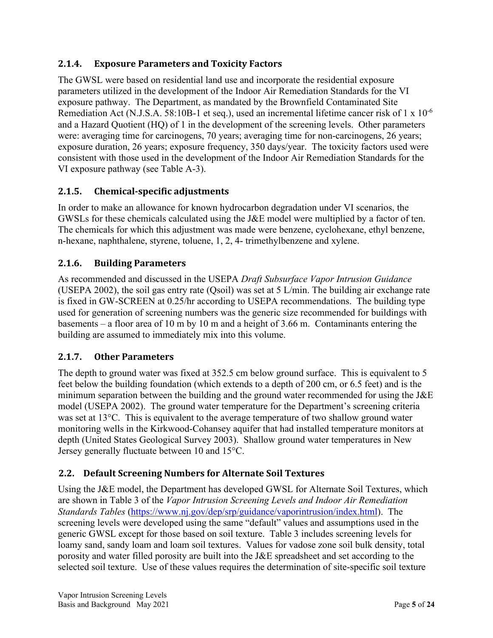#### <span id="page-4-0"></span>**2.1.4. Exposure Parameters and Toxicity Factors**

The GWSL were based on residential land use and incorporate the residential exposure parameters utilized in the development of the Indoor Air Remediation Standards for the VI exposure pathway. The Department, as mandated by the Brownfield Contaminated Site Remediation Act (N.J.S.A. 58:10B-1 et seq.), used an incremental lifetime cancer risk of 1 x  $10^{-6}$ and a Hazard Quotient (HQ) of 1 in the development of the screening levels. Other parameters were: averaging time for carcinogens, 70 years; averaging time for non-carcinogens, 26 years; exposure duration, 26 years; exposure frequency, 350 days/year. The toxicity factors used were consistent with those used in the development of the Indoor Air Remediation Standards for the VI exposure pathway (see Table A-3).

#### <span id="page-4-1"></span>**2.1.5. Chemical-specific adjustments**

In order to make an allowance for known hydrocarbon degradation under VI scenarios, the GWSLs for these chemicals calculated using the J&E model were multiplied by a factor of ten. The chemicals for which this adjustment was made were benzene, cyclohexane, ethyl benzene, n-hexane, naphthalene, styrene, toluene, 1, 2, 4- trimethylbenzene and xylene.

#### <span id="page-4-2"></span>**2.1.6. Building Parameters**

As recommended and discussed in the USEPA *Draft Subsurface Vapor Intrusion Guidance* (USEPA 2002), the soil gas entry rate (Qsoil) was set at 5 L/min. The building air exchange rate is fixed in GW-SCREEN at 0.25/hr according to USEPA recommendations. The building type used for generation of screening numbers was the generic size recommended for buildings with basements – a floor area of 10 m by 10 m and a height of 3.66 m. Contaminants entering the building are assumed to immediately mix into this volume.

#### <span id="page-4-3"></span>**2.1.7. Other Parameters**

The depth to ground water was fixed at 352.5 cm below ground surface. This is equivalent to 5 feet below the building foundation (which extends to a depth of 200 cm, or 6.5 feet) and is the minimum separation between the building and the ground water recommended for using the J&E model (USEPA 2002). The ground water temperature for the Department's screening criteria was set at 13°C. This is equivalent to the average temperature of two shallow ground water monitoring wells in the Kirkwood-Cohansey aquifer that had installed temperature monitors at depth (United States Geological Survey 2003). Shallow ground water temperatures in New Jersey generally fluctuate between 10 and 15°C.

#### <span id="page-4-4"></span>**2.2. Default Screening Numbers for Alternate Soil Textures**

Using the J&E model, the Department has developed GWSL for Alternate Soil Textures, which are shown in Table 3 of the *Vapor Intrusion Screening Levels and Indoor Air Remediation Standards Tables* [\(https://www.nj.gov/dep/srp/guidance/vaporintrusion/index.html\)](https://www.nj.gov/dep/srp/guidance/vaporintrusion/index.html). The screening levels were developed using the same "default" values and assumptions used in the generic GWSL except for those based on soil texture. Table 3 includes screening levels for loamy sand, sandy loam and loam soil textures. Values for vadose zone soil bulk density, total porosity and water filled porosity are built into the J&E spreadsheet and set according to the selected soil texture. Use of these values requires the determination of site-specific soil texture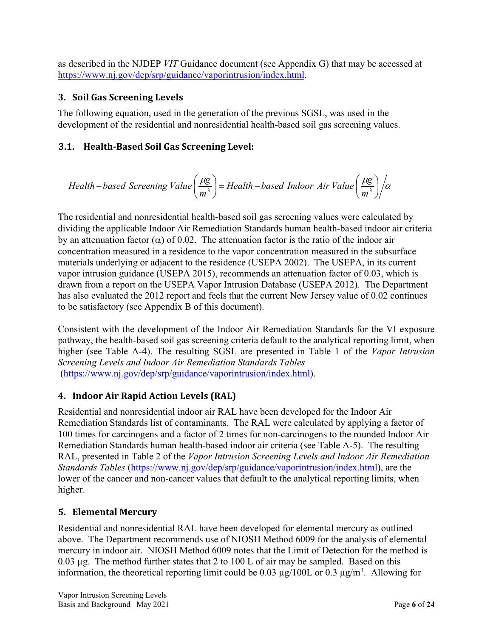as described in the NJDEP *VIT* Guidance document (see Appendix G) that may be accessed at [https://www.nj.gov/dep/srp/guidance/vaporintrusion/index.html.](https://www.nj.gov/dep/srp/guidance/vaporintrusion/index.html)

#### <span id="page-5-0"></span>**3. Soil Gas Screening Levels**

The following equation, used in the generation of the previous SGSL, was used in the development of the residential and nonresidential health-based soil gas screening values.

### <span id="page-5-1"></span>**3.1. Health-Based Soil Gas Screening Level:**

Health–based Screening Value 
$$
\left(\frac{\mu g}{m^3}\right)
$$
 = Health–based Indoor Air Value  $\left(\frac{\mu g}{m^3}\right)/\alpha$ 

The residential and nonresidential health-based soil gas screening values were calculated by dividing the applicable Indoor Air Remediation Standards human health-based indoor air criteria by an attenuation factor  $(\alpha)$  of 0.02. The attenuation factor is the ratio of the indoor air concentration measured in a residence to the vapor concentration measured in the subsurface materials underlying or adjacent to the residence (USEPA 2002). The USEPA, in its current vapor intrusion guidance (USEPA 2015), recommends an attenuation factor of 0.03, which is drawn from a report on the USEPA Vapor Intrusion Database (USEPA 2012). The Department has also evaluated the 2012 report and feels that the current New Jersey value of 0.02 continues to be satisfactory (see Appendix B of this document).

Consistent with the development of the Indoor Air Remediation Standards for the VI exposure pathway, the health-based soil gas screening criteria default to the analytical reporting limit, when higher (see Table A-4). The resulting SGSL are presented in Table 1 of the *Vapor Intrusion Screening Levels and Indoor Air Remediation Standards Tables* [\(https://www.nj.gov/dep/srp/guidance/vaporintrusion/index.html\)](https://www.nj.gov/dep/srp/guidance/vaporintrusion/index.html).

### <span id="page-5-2"></span>**4. Indoor Air Rapid Action Levels (RAL)**

Residential and nonresidential indoor air RAL have been developed for the Indoor Air Remediation Standards list of contaminants. The RAL were calculated by applying a factor of 100 times for carcinogens and a factor of 2 times for non-carcinogens to the rounded Indoor Air Remediation Standards human health-based indoor air criteria (see Table A-5). The resulting RAL, presented in Table 2 of the *Vapor Intrusion Screening Levels and Indoor Air Remediation Standards Tables* [\(https://www.nj.gov/dep/srp/guidance/vaporintrusion/index.html\)](https://www.nj.gov/dep/srp/guidance/vaporintrusion/index.html), are the lower of the cancer and non-cancer values that default to the analytical reporting limits, when higher.

### <span id="page-5-3"></span>**5. Elemental Mercury**

Residential and nonresidential RAL have been developed for elemental mercury as outlined above. The Department recommends use of NIOSH Method 6009 for the analysis of elemental mercury in indoor air. NIOSH Method 6009 notes that the Limit of Detection for the method is 0.03 µg. The method further states that 2 to 100 L of air may be sampled. Based on this information, the theoretical reporting limit could be 0.03  $\mu$ g/100L or 0.3  $\mu$ g/m<sup>3</sup>. Allowing for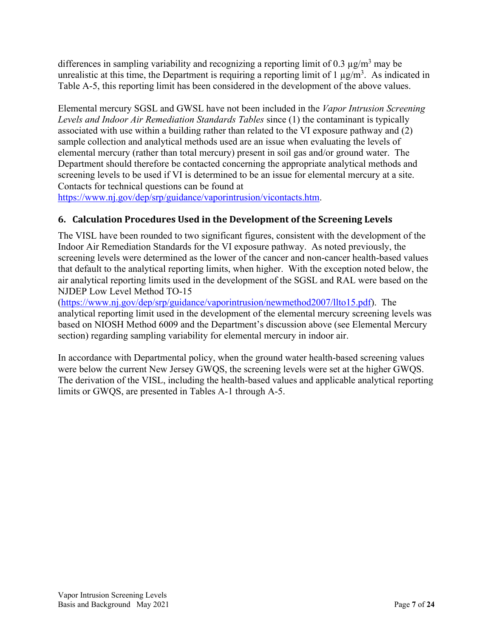differences in sampling variability and recognizing a reporting limit of 0.3  $\mu$ g/m<sup>3</sup> may be unrealistic at this time, the Department is requiring a reporting limit of 1  $\mu$ g/m<sup>3</sup>. As indicated in Table A-5, this reporting limit has been considered in the development of the above values.

Elemental mercury SGSL and GWSL have not been included in the *Vapor Intrusion Screening Levels and Indoor Air Remediation Standards Tables* since (1) the contaminant is typically associated with use within a building rather than related to the VI exposure pathway and (2) sample collection and analytical methods used are an issue when evaluating the levels of elemental mercury (rather than total mercury) present in soil gas and/or ground water. The Department should therefore be contacted concerning the appropriate analytical methods and screening levels to be used if VI is determined to be an issue for elemental mercury at a site. Contacts for technical questions can be found at

[https://www.nj.gov/dep/srp/guidance/vaporintrusion/vicontacts.htm.](https://www.nj.gov/dep/srp/guidance/vaporintrusion/vicontacts.htm)

#### <span id="page-6-0"></span>**6. Calculation Procedures Used in the Development of the Screening Levels**

The VISL have been rounded to two significant figures, consistent with the development of the Indoor Air Remediation Standards for the VI exposure pathway. As noted previously, the screening levels were determined as the lower of the cancer and non-cancer health-based values that default to the analytical reporting limits, when higher. With the exception noted below, the air analytical reporting limits used in the development of the SGSL and RAL were based on the NJDEP Low Level Method TO-15

[\(https://www.nj.gov/dep/srp/guidance/vaporintrusion/newmethod2007/llto15.pdf\)](https://www.nj.gov/dep/srp/guidance/vaporintrusion/newmethod2007/llto15.pdf). The analytical reporting limit used in the development of the elemental mercury screening levels was based on NIOSH Method 6009 and the Department's discussion above (see Elemental Mercury section) regarding sampling variability for elemental mercury in indoor air.

In accordance with Departmental policy, when the ground water health-based screening values were below the current New Jersey GWQS, the screening levels were set at the higher GWQS. The derivation of the VISL, including the health-based values and applicable analytical reporting limits or GWQS, are presented in Tables A-1 through A-5.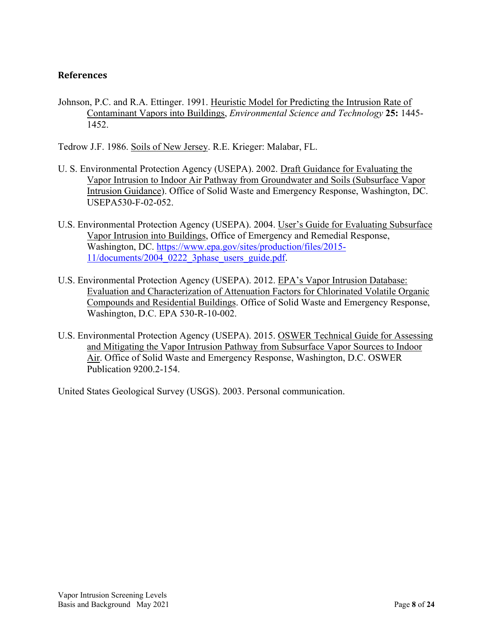#### <span id="page-7-0"></span>**References**

Johnson, P.C. and R.A. Ettinger. 1991. Heuristic Model for Predicting the Intrusion Rate of Contaminant Vapors into Buildings, *Environmental Science and Technology* **25:** 1445- 1452.

Tedrow J.F. 1986. Soils of New Jersey. R.E. Krieger: Malabar, FL.

- U. S. Environmental Protection Agency (USEPA). 2002. Draft Guidance for Evaluating the Vapor Intrusion to Indoor Air Pathway from Groundwater and Soils (Subsurface Vapor Intrusion Guidance). Office of Solid Waste and Emergency Response, Washington, DC. USEPA530-F-02-052.
- U.S. Environmental Protection Agency (USEPA). 2004. User's Guide for Evaluating Subsurface Vapor Intrusion into Buildings, Office of Emergency and Remedial Response, Washington, DC. [https://www.epa.gov/sites/production/files/2015-](https://www.epa.gov/sites/production/files/2015-11/documents/2004_0222_3phase_users_guide.pdf) [11/documents/2004\\_0222\\_3phase\\_users\\_guide.pdf.](https://www.epa.gov/sites/production/files/2015-11/documents/2004_0222_3phase_users_guide.pdf)
- U.S. Environmental Protection Agency (USEPA). 2012. EPA's Vapor Intrusion Database: Evaluation and Characterization of Attenuation Factors for Chlorinated Volatile Organic Compounds and Residential Buildings. Office of Solid Waste and Emergency Response, Washington, D.C. EPA 530-R-10-002.
- U.S. Environmental Protection Agency (USEPA). 2015. OSWER Technical Guide for Assessing and Mitigating the Vapor Intrusion Pathway from Subsurface Vapor Sources to Indoor Air. Office of Solid Waste and Emergency Response, Washington, D.C. OSWER Publication 9200.2-154.

United States Geological Survey (USGS). 2003. Personal communication.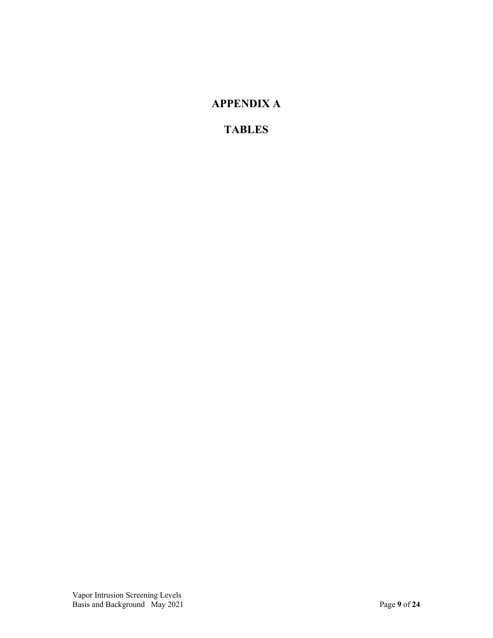## **APPENDIX A**

### **TABLES**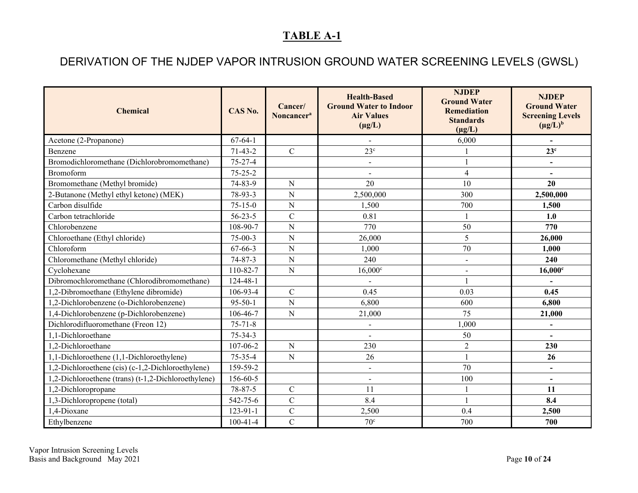# DERIVATION OF THE NJDEP VAPOR INTRUSION GROUND WATER SCREENING LEVELS (GWSL)

<span id="page-9-0"></span>

| <b>Chemical</b>                                     | CAS No.        | Cancer/<br>Noncancer <sup>a</sup> | <b>Health-Based</b><br><b>Ground Water to Indoor</b><br><b>Air Values</b><br>$(\mu g/L)$ | <b>NJDEP</b><br><b>Ground Water</b><br><b>Remediation</b><br><b>Standards</b><br>$(\mu g/L)$ | <b>NJDEP</b><br><b>Ground Water</b><br><b>Screening Levels</b><br>$(\mu g/L)^b$ |
|-----------------------------------------------------|----------------|-----------------------------------|------------------------------------------------------------------------------------------|----------------------------------------------------------------------------------------------|---------------------------------------------------------------------------------|
| Acetone (2-Propanone)                               | $67-64-1$      |                                   | $\mathbf{r}$                                                                             | 6,000                                                                                        | $\overline{a}$                                                                  |
| Benzene                                             | $71-43-2$      | $\mathsf{C}$                      | 23 <sup>c</sup>                                                                          |                                                                                              | 23 <sup>c</sup>                                                                 |
| Bromodichloromethane (Dichlorobromomethane)         | $75 - 27 - 4$  |                                   | $\overline{\phantom{a}}$                                                                 |                                                                                              | $\blacksquare$                                                                  |
| Bromoform                                           | $75 - 25 - 2$  |                                   | $\overline{a}$                                                                           | 4                                                                                            | $\blacksquare$                                                                  |
| Bromomethane (Methyl bromide)                       | 74-83-9        | N                                 | 20                                                                                       | 10                                                                                           | 20                                                                              |
| 2-Butanone (Methyl ethyl ketone) (MEK)              | 78-93-3        | $\overline{N}$                    | 2,500,000                                                                                | 300                                                                                          | 2,500,000                                                                       |
| Carbon disulfide                                    | $75 - 15 - 0$  | ${\bf N}$                         | 1,500                                                                                    | 700                                                                                          | 1,500                                                                           |
| Carbon tetrachloride                                | $56 - 23 - 5$  | $\mathbf C$                       | 0.81                                                                                     |                                                                                              | 1.0                                                                             |
| Chlorobenzene                                       | 108-90-7       | $\overline{N}$                    | 770                                                                                      | 50                                                                                           | 770                                                                             |
| Chloroethane (Ethyl chloride)                       | $75-00-3$      | ${\bf N}$                         | 26,000                                                                                   | 5                                                                                            | 26,000                                                                          |
| Chloroform                                          | $67 - 66 - 3$  | ${\bf N}$                         | 1,000                                                                                    | 70                                                                                           | 1,000                                                                           |
| Chloromethane (Methyl chloride)                     | $74 - 87 - 3$  | N                                 | 240                                                                                      | $\blacksquare$                                                                               | 240                                                                             |
| Cyclohexane                                         | 110-82-7       | ${\bf N}$                         | $16,000^{\circ}$                                                                         | $\blacksquare$                                                                               | $16,000$ c                                                                      |
| Dibromochloromethane (Chlorodibromomethane)         | $124 - 48 - 1$ |                                   | $\blacksquare$                                                                           |                                                                                              |                                                                                 |
| 1,2-Dibromoethane (Ethylene dibromide)              | 106-93-4       | $\mathcal{C}$                     | 0.45                                                                                     | 0.03                                                                                         | 0.45                                                                            |
| 1,2-Dichlorobenzene (o-Dichlorobenzene)             | $95 - 50 - 1$  | ${\bf N}$                         | 6,800                                                                                    | 600                                                                                          | 6,800                                                                           |
| 1,4-Dichlorobenzene (p-Dichlorobenzene)             | 106-46-7       | ${\bf N}$                         | 21,000                                                                                   | 75                                                                                           | 21,000                                                                          |
| Dichlorodifluoromethane (Freon 12)                  | $75 - 71 - 8$  |                                   | $\qquad \qquad \blacksquare$                                                             | 1,000                                                                                        | $\overline{\phantom{0}}$                                                        |
| 1,1-Dichloroethane                                  | $75 - 34 - 3$  |                                   | $\overline{a}$                                                                           | 50                                                                                           |                                                                                 |
| 1.2-Dichloroethane                                  | 107-06-2       | $\overline{N}$                    | 230                                                                                      | $\overline{2}$                                                                               | 230                                                                             |
| 1,1-Dichloroethene (1,1-Dichloroethylene)           | $75 - 35 - 4$  | ${\bf N}$                         | 26                                                                                       |                                                                                              | 26                                                                              |
| 1,2-Dichloroethene (cis) (c-1,2-Dichloroethylene)   | 159-59-2       |                                   | $\blacksquare$                                                                           | 70                                                                                           | $\blacksquare$                                                                  |
| 1,2-Dichloroethene (trans) (t-1,2-Dichloroethylene) | 156-60-5       |                                   | $\overline{\phantom{a}}$                                                                 | 100                                                                                          | $\blacksquare$                                                                  |
| 1,2-Dichloropropane                                 | 78-87-5        | $\mathcal{C}$                     | 11                                                                                       |                                                                                              | 11                                                                              |
| 1,3-Dichloropropene (total)                         | 542-75-6       | $\overline{C}$                    | 8.4                                                                                      |                                                                                              | 8.4                                                                             |
| 1,4-Dioxane                                         | $123 - 91 - 1$ | $\mathbf C$                       | 2,500                                                                                    | 0.4                                                                                          | 2,500                                                                           |
| Ethylbenzene                                        | $100-41-4$     | $\mathbf C$                       | 70 <sup>c</sup>                                                                          | 700                                                                                          | 700                                                                             |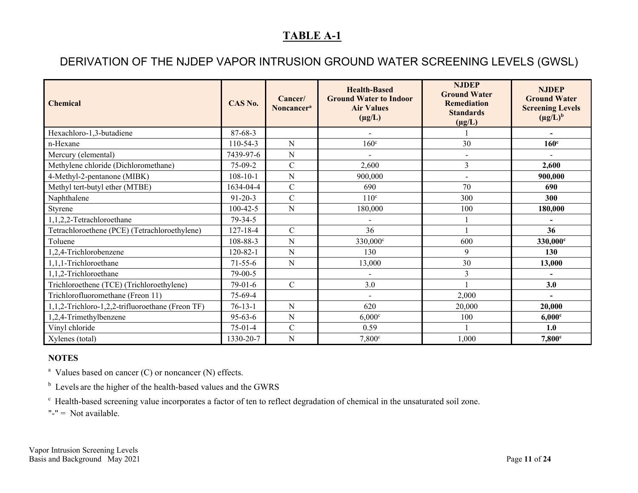## DERIVATION OF THE NJDEP VAPOR INTRUSION GROUND WATER SCREENING LEVELS (GWSL)

| <b>Chemical</b>                                  | CAS No.        | Cancer/<br>Noncancer <sup>a</sup> | <b>Health-Based</b><br><b>Ground Water to Indoor</b><br><b>Air Values</b><br>$(\mu g/L)$ | <b>NJDEP</b><br><b>Ground Water</b><br><b>Remediation</b><br><b>Standards</b><br>$(\mu g/L)$ | <b>NJDEP</b><br><b>Ground Water</b><br><b>Screening Levels</b><br>$(\mu g/L)^b$ |
|--------------------------------------------------|----------------|-----------------------------------|------------------------------------------------------------------------------------------|----------------------------------------------------------------------------------------------|---------------------------------------------------------------------------------|
| Hexachloro-1,3-butadiene                         | $87 - 68 - 3$  |                                   | $\overline{a}$                                                                           |                                                                                              | $\blacksquare$                                                                  |
| n-Hexane                                         | $110-54-3$     | ${\bf N}$                         | $160^\circ$                                                                              | 30                                                                                           | 160 <sup>c</sup>                                                                |
| Mercury (elemental)                              | 7439-97-6      | N                                 |                                                                                          |                                                                                              |                                                                                 |
| Methylene chloride (Dichloromethane)             | $75-09-2$      | $\mathcal{C}$                     | 2,600                                                                                    | $\overline{3}$                                                                               | 2,600                                                                           |
| 4-Methyl-2-pentanone (MIBK)                      | $108 - 10 - 1$ | ${\bf N}$                         | 900,000                                                                                  |                                                                                              | 900,000                                                                         |
| Methyl tert-butyl ether (MTBE)                   | 1634-04-4      | $\mathbf C$                       | 690                                                                                      | 70                                                                                           | 690                                                                             |
| Naphthalene                                      | $91 - 20 - 3$  | $\mathcal{C}$                     | 110 <sup>c</sup>                                                                         | 300                                                                                          | 300                                                                             |
| Styrene                                          | 100-42-5       | N                                 | 180,000                                                                                  | 100                                                                                          | 180,000                                                                         |
| 1,1,2,2-Tetrachloroethane                        | 79-34-5        |                                   |                                                                                          |                                                                                              |                                                                                 |
| Tetrachloroethene (PCE) (Tetrachloroethylene)    | 127-18-4       | $\mathcal{C}$                     | 36                                                                                       |                                                                                              | 36                                                                              |
| Toluene                                          | 108-88-3       | N                                 | 330,000°                                                                                 | 600                                                                                          | 330,000 <sup>c</sup>                                                            |
| 1,2,4-Trichlorobenzene                           | $120 - 82 - 1$ | N                                 | 130                                                                                      | 9                                                                                            | 130                                                                             |
| 1,1,1-Trichloroethane                            | $71 - 55 - 6$  | ${\bf N}$                         | 13,000                                                                                   | 30                                                                                           | 13,000                                                                          |
| 1,1,2-Trichloroethane                            | 79-00-5        |                                   |                                                                                          | 3                                                                                            |                                                                                 |
| Trichloroethene (TCE) (Trichloroethylene)        | $79-01-6$      | $\mathcal{C}$                     | 3.0                                                                                      |                                                                                              | 3.0                                                                             |
| Trichlorofluoromethane (Freon 11)                | 75-69-4        |                                   | $\blacksquare$                                                                           | 2,000                                                                                        |                                                                                 |
| 1,1,2-Trichloro-1,2,2-trifluoroethane (Freon TF) | $76 - 13 - 1$  | ${\bf N}$                         | 620                                                                                      | 20,000                                                                                       | 20,000                                                                          |
| 1,2,4-Trimethylbenzene                           | $95 - 63 - 6$  | ${\bf N}$                         | $6,000$ c                                                                                | 100                                                                                          | $6,000$ c                                                                       |
| Vinyl chloride                                   | $75-01-4$      | $\mathcal{C}$                     | 0.59                                                                                     |                                                                                              | 1.0                                                                             |
| Xylenes (total)                                  | 1330-20-7      | ${\bf N}$                         | 7,800°                                                                                   | 1,000                                                                                        | 7,800c                                                                          |

#### **NOTES**

<sup>a</sup> Values based on cancer (C) or noncancer (N) effects.

<sup>b</sup> Levels are the higher of the health-based values and the GWRS

c Health-based screening value incorporates a factor of ten to reflect degradation of chemical in the unsaturated soil zone.

"-" = Not available.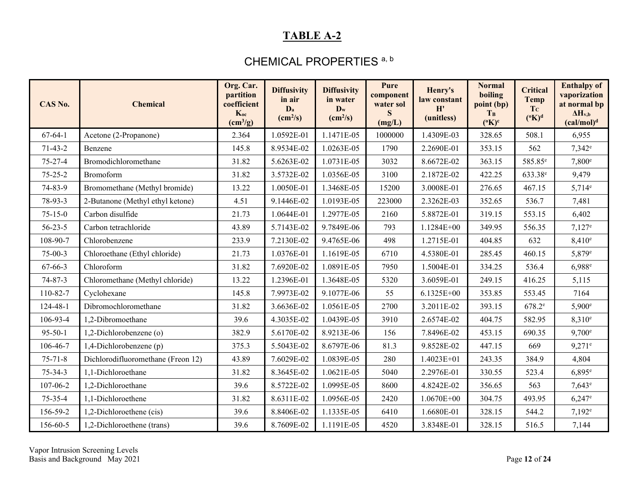### CHEMICAL PROPERTIES<sup>a, b</sup>

<span id="page-11-0"></span>

| CAS No.       | <b>Chemical</b>                    | Org. Car.<br>partition<br>coefficient<br>$K_{oc}$<br>$\text{(cm}^3\text{/g)}$ | <b>Diffusivity</b><br>in air<br>D <sub>a</sub><br>$\text{(cm}^2\text{/s)}$ | <b>Diffusivity</b><br>in water<br>$\mathbf{D}_w$<br>$\text{(cm}^2\text{/s)}$ | Pure<br>component<br>water sol<br>S<br>(mg/L) | Henry's<br>law constant<br>H'<br>(unitless) | <b>Normal</b><br>boiling<br>point (bp)<br>$T_B$<br>$(^{\circ}K)^{\circ}$ | <b>Critical</b><br><b>Temp</b><br>T <sub>c</sub><br>$({}^{\rm o}{\rm K})^{\rm d}$ | <b>Enthalpy of</b><br>vaporization<br>at normal bp<br>$\Delta H_{v,b}$<br>(cal/mol) <sup>d</sup> |
|---------------|------------------------------------|-------------------------------------------------------------------------------|----------------------------------------------------------------------------|------------------------------------------------------------------------------|-----------------------------------------------|---------------------------------------------|--------------------------------------------------------------------------|-----------------------------------------------------------------------------------|--------------------------------------------------------------------------------------------------|
| $67-64-1$     | Acetone (2-Propanone)              | 2.364                                                                         | 1.0592E-01                                                                 | 1.1471E-05                                                                   | 1000000                                       | 1.4309E-03                                  | 328.65                                                                   | 508.1                                                                             | 6,955                                                                                            |
| $71-43-2$     | Benzene                            | 145.8                                                                         | 8.9534E-02                                                                 | 1.0263E-05                                                                   | 1790                                          | 2.2690E-01                                  | 353.15                                                                   | 562                                                                               | $7,342^e$                                                                                        |
| $75 - 27 - 4$ | Bromodichloromethane               | 31.82                                                                         | 5.6263E-02                                                                 | 1.0731E-05                                                                   | 3032                                          | 8.6672E-02                                  | 363.15                                                                   | 585.85 <sup>e</sup>                                                               | $7,800$ <sup>e</sup>                                                                             |
| $75 - 25 - 2$ | Bromoform                          | 31.82                                                                         | 3.5732E-02                                                                 | 1.0356E-05                                                                   | 3100                                          | 2.1872E-02                                  | 422.25                                                                   | 633.38 <sup>e</sup>                                                               | 9,479                                                                                            |
| 74-83-9       | Bromomethane (Methyl bromide)      | 13.22                                                                         | 1.0050E-01                                                                 | 1.3468E-05                                                                   | 15200                                         | 3.0008E-01                                  | 276.65                                                                   | 467.15                                                                            | $5,714^e$                                                                                        |
| 78-93-3       | 2-Butanone (Methyl ethyl ketone)   | 4.51                                                                          | 9.1446E-02                                                                 | 1.0193E-05                                                                   | 223000                                        | 2.3262E-03                                  | 352.65                                                                   | 536.7                                                                             | 7,481                                                                                            |
| $75 - 15 - 0$ | Carbon disulfide                   | 21.73                                                                         | 1.0644E-01                                                                 | 1.2977E-05                                                                   | 2160                                          | 5.8872E-01                                  | 319.15                                                                   | 553.15                                                                            | 6,402                                                                                            |
| $56 - 23 - 5$ | Carbon tetrachloride               | 43.89                                                                         | 5.7143E-02                                                                 | 9.7849E-06                                                                   | 793                                           | 1.1284E+00                                  | 349.95                                                                   | 556.35                                                                            | $7,127^e$                                                                                        |
| 108-90-7      | Chlorobenzene                      | 233.9                                                                         | 7.2130E-02                                                                 | 9.4765E-06                                                                   | 498                                           | 1.2715E-01                                  | 404.85                                                                   | 632                                                                               | $8,410^e$                                                                                        |
| $75-00-3$     | Chloroethane (Ethyl chloride)      | 21.73                                                                         | 1.0376E-01                                                                 | 1.1619E-05                                                                   | 6710                                          | 4.5380E-01                                  | 285.45                                                                   | 460.15                                                                            | $5,879^e$                                                                                        |
| $67 - 66 - 3$ | Chloroform                         | 31.82                                                                         | 7.6920E-02                                                                 | 1.0891E-05                                                                   | 7950                                          | 1.5004E-01                                  | 334.25                                                                   | 536.4                                                                             | 6,988 <sup>e</sup>                                                                               |
| $74 - 87 - 3$ | Chloromethane (Methyl chloride)    | 13.22                                                                         | 1.2396E-01                                                                 | 1.3648E-05                                                                   | 5320                                          | 3.6059E-01                                  | 249.15                                                                   | 416.25                                                                            | 5,115                                                                                            |
| 110-82-7      | Cyclohexane                        | 145.8                                                                         | 7.9973E-02                                                                 | 9.1077E-06                                                                   | 55                                            | 6.1325E+00                                  | 353.85                                                                   | 553.45                                                                            | 7164                                                                                             |
| 124-48-1      | Dibromochloromethane               | 31.82                                                                         | 3.6636E-02                                                                 | 1.0561E-05                                                                   | 2700                                          | 3.2011E-02                                  | 393.15                                                                   | $678.2^e$                                                                         | $5,900^\circ$                                                                                    |
| 106-93-4      | 1,2-Dibromoethane                  | 39.6                                                                          | 4.3035E-02                                                                 | 1.0439E-05                                                                   | 3910                                          | 2.6574E-02                                  | 404.75                                                                   | 582.95                                                                            | $8,310^e$                                                                                        |
| $95 - 50 - 1$ | 1,2-Dichlorobenzene (o)            | 382.9                                                                         | 5.6170E-02                                                                 | 8.9213E-06                                                                   | 156                                           | 7.8496E-02                                  | 453.15                                                                   | 690.35                                                                            | $9,700^{\circ}$                                                                                  |
| 106-46-7      | 1,4-Dichlorobenzene (p)            | 375.3                                                                         | 5.5043E-02                                                                 | 8.6797E-06                                                                   | 81.3                                          | 9.8528E-02                                  | 447.15                                                                   | 669                                                                               | $9,271$ <sup>e</sup>                                                                             |
| $75 - 71 - 8$ | Dichlorodifluoromethane (Freon 12) | 43.89                                                                         | 7.6029E-02                                                                 | 1.0839E-05                                                                   | 280                                           | 1.4023E+01                                  | 243.35                                                                   | 384.9                                                                             | 4,804                                                                                            |
| $75 - 34 - 3$ | 1.1-Dichloroethane                 | 31.82                                                                         | 8.3645E-02                                                                 | 1.0621E-05                                                                   | 5040                                          | 2.2976E-01                                  | 330.55                                                                   | 523.4                                                                             | $6,895^{\circ}$                                                                                  |
| 107-06-2      | 1,2-Dichloroethane                 | 39.6                                                                          | 8.5722E-02                                                                 | 1.0995E-05                                                                   | 8600                                          | 4.8242E-02                                  | 356.65                                                                   | 563                                                                               | $7,643^e$                                                                                        |
| $75 - 35 - 4$ | 1,1-Dichloroethene                 | 31.82                                                                         | 8.6311E-02                                                                 | 1.0956E-05                                                                   | 2420                                          | $1.0670E + 00$                              | 304.75                                                                   | 493.95                                                                            | $6,247^e$                                                                                        |
| 156-59-2      | 1,2-Dichloroethene (cis)           | 39.6                                                                          | 8.8406E-02                                                                 | 1.1335E-05                                                                   | 6410                                          | 1.6680E-01                                  | 328.15                                                                   | 544.2                                                                             | $7,192^e$                                                                                        |
| 156-60-5      | 1,2-Dichloroethene (trans)         | 39.6                                                                          | 8.7609E-02                                                                 | 1.1191E-05                                                                   | 4520                                          | 3.8348E-01                                  | 328.15                                                                   | 516.5                                                                             | 7,144                                                                                            |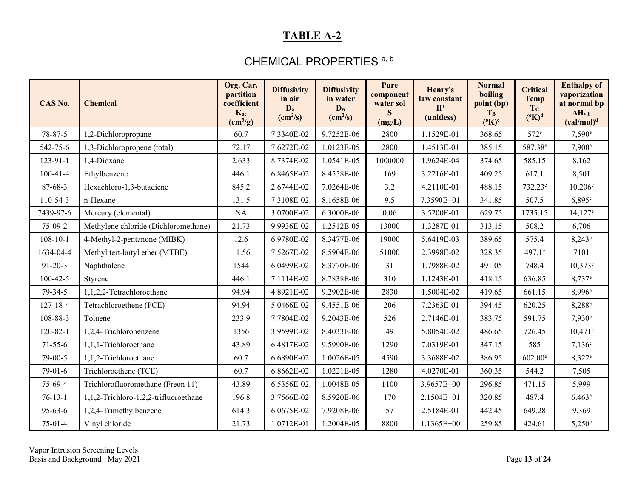### CHEMICAL PROPERTIES<sup>a, b</sup>

| CAS No.        | <b>Chemical</b>                       | Org. Car.<br>partition<br>coefficient<br>Koc<br>$\left(\text{cm}^3/\text{g}\right)$ | <b>Diffusivity</b><br>in air<br>D <sub>a</sub><br>$\text{(cm}^2/\text{s})$ | <b>Diffusivity</b><br>in water<br>$D_w$<br>$\text{(cm}^2\text{/s)}$ | Pure<br>component<br>water sol<br>S<br>(mg/L) | Henry's<br>law constant<br>H'<br>(unitless) | <b>Normal</b><br>boiling<br>point (bp)<br>T <sub>B</sub><br>$(^{\circ}K)^{c}$ | <b>Critical</b><br><b>Temp</b><br>T <sub>c</sub><br>$({}^{\circ}{\rm K})^{\rm d}$ | <b>Enthalpy of</b><br>vaporization<br>at normal bp<br>$\Delta H_{v,b}$<br>(cal/mol) <sup>d</sup> |
|----------------|---------------------------------------|-------------------------------------------------------------------------------------|----------------------------------------------------------------------------|---------------------------------------------------------------------|-----------------------------------------------|---------------------------------------------|-------------------------------------------------------------------------------|-----------------------------------------------------------------------------------|--------------------------------------------------------------------------------------------------|
| 78-87-5        | 1,2-Dichloropropane                   | 60.7                                                                                | 7.3340E-02                                                                 | 9.7252E-06                                                          | 2800                                          | 1.1529E-01                                  | 368.65                                                                        | $572^e$                                                                           | $7,590^{\circ}$                                                                                  |
| 542-75-6       | 1,3-Dichloropropene (total)           | 72.17                                                                               | 7.6272E-02                                                                 | 1.0123E-05                                                          | 2800                                          | 1.4513E-01                                  | 385.15                                                                        | 587.38 <sup>e</sup>                                                               | 7,900 <sup>e</sup>                                                                               |
| 123-91-1       | 1,4-Dioxane                           | 2.633                                                                               | 8.7374E-02                                                                 | 1.0541E-05                                                          | 1000000                                       | 1.9624E-04                                  | 374.65                                                                        | 585.15                                                                            | 8,162                                                                                            |
| $100 - 41 - 4$ | Ethylbenzene                          | 446.1                                                                               | 6.8465E-02                                                                 | 8.4558E-06                                                          | 169                                           | 3.2216E-01                                  | 409.25                                                                        | 617.1                                                                             | 8,501                                                                                            |
| 87-68-3        | Hexachloro-1,3-butadiene              | 845.2                                                                               | 2.6744E-02                                                                 | 7.0264E-06                                                          | 3.2                                           | 4.2110E-01                                  | 488.15                                                                        | 732.23 <sup>e</sup>                                                               | $10,206^{\circ}$                                                                                 |
| 110-54-3       | n-Hexane                              | 131.5                                                                               | 7.3108E-02                                                                 | 8.1658E-06                                                          | 9.5                                           | 7.3590E+01                                  | 341.85                                                                        | 507.5                                                                             | $6,895^{\circ}$                                                                                  |
| 7439-97-6      | Mercury (elemental)                   | NA                                                                                  | 3.0700E-02                                                                 | 6.3000E-06                                                          | 0.06                                          | 3.5200E-01                                  | 629.75                                                                        | 1735.15                                                                           | $14,127$ <sup>e</sup>                                                                            |
| 75-09-2        | Methylene chloride (Dichloromethane)  | 21.73                                                                               | 9.9936E-02                                                                 | 1.2512E-05                                                          | 13000                                         | 1.3287E-01                                  | 313.15                                                                        | 508.2                                                                             | 6,706                                                                                            |
| $108 - 10 - 1$ | 4-Methyl-2-pentanone (MIBK)           | 12.6                                                                                | 6.9780E-02                                                                 | 8.3477E-06                                                          | 19000                                         | 5.6419E-03                                  | 389.65                                                                        | 575.4                                                                             | $8,243^e$                                                                                        |
| 1634-04-4      | Methyl tert-butyl ether (MTBE)        | 11.56                                                                               | 7.5267E-02                                                                 | 8.5904E-06                                                          | 51000                                         | 2.3998E-02                                  | 328.35                                                                        | 497.1 <sup>e</sup>                                                                | 7101                                                                                             |
| $91 - 20 - 3$  | Naphthalene                           | 1544                                                                                | 6.0499E-02                                                                 | 8.3770E-06                                                          | 31                                            | 1.7988E-02                                  | 491.05                                                                        | 748.4                                                                             | $10,373^e$                                                                                       |
| $100 - 42 - 5$ | Styrene                               | 446.1                                                                               | 7.1114E-02                                                                 | 8.7838E-06                                                          | 310                                           | 1.1243E-01                                  | 418.15                                                                        | 636.85                                                                            | $8,737$ <sup>e</sup>                                                                             |
| 79-34-5        | 1,1,2,2-Tetrachloroethane             | 94.94                                                                               | 4.8921E-02                                                                 | 9.2902E-06                                                          | 2830                                          | 1.5004E-02                                  | 419.65                                                                        | 661.15                                                                            | 8,996 <sup>e</sup>                                                                               |
| 127-18-4       | Tetrachloroethene (PCE)               | 94.94                                                                               | 5.0466E-02                                                                 | 9.4551E-06                                                          | 206                                           | 7.2363E-01                                  | 394.45                                                                        | 620.25                                                                            | 8,288 <sup>e</sup>                                                                               |
| 108-88-3       | Toluene                               | 233.9                                                                               | 7.7804E-02                                                                 | 9.2043E-06                                                          | 526                                           | 2.7146E-01                                  | 383.75                                                                        | 591.75                                                                            | $7,930^{\circ}$                                                                                  |
| $120 - 82 - 1$ | 1,2,4-Trichlorobenzene                | 1356                                                                                | 3.9599E-02                                                                 | 8.4033E-06                                                          | 49                                            | 5.8054E-02                                  | 486.65                                                                        | 726.45                                                                            | $10,471^e$                                                                                       |
| $71-55-6$      | 1,1,1-Trichloroethane                 | 43.89                                                                               | 6.4817E-02                                                                 | 9.5990E-06                                                          | 1290                                          | 7.0319E-01                                  | 347.15                                                                        | 585                                                                               | $7,136^e$                                                                                        |
| 79-00-5        | 1,1,2-Trichloroethane                 | 60.7                                                                                | 6.6890E-02                                                                 | 1.0026E-05                                                          | 4590                                          | 3.3688E-02                                  | 386.95                                                                        | $602.00$ <sup>e</sup>                                                             | $8,322^e$                                                                                        |
| $79-01-6$      | Trichloroethene (TCE)                 | 60.7                                                                                | 6.8662E-02                                                                 | 1.0221E-05                                                          | 1280                                          | 4.0270E-01                                  | 360.35                                                                        | 544.2                                                                             | 7,505                                                                                            |
| 75-69-4        | Trichlorofluoromethane (Freon 11)     | 43.89                                                                               | 6.5356E-02                                                                 | 1.0048E-05                                                          | 1100                                          | 3.9657E+00                                  | 296.85                                                                        | 471.15                                                                            | 5,999                                                                                            |
| $76-13-1$      | 1,1,2-Trichloro-1,2,2-trifluoroethane | 196.8                                                                               | 3.7566E-02                                                                 | 8.5920E-06                                                          | 170                                           | 2.1504E+01                                  | 320.85                                                                        | 487.4                                                                             | $6.463^e$                                                                                        |
| $95 - 63 - 6$  | 1,2,4-Trimethylbenzene                | 614.3                                                                               | 6.0675E-02                                                                 | 7.9208E-06                                                          | 57                                            | 2.5184E-01                                  | 442.45                                                                        | 649.28                                                                            | 9,369                                                                                            |
| $75-01-4$      | Vinyl chloride                        | 21.73                                                                               | 1.0712E-01                                                                 | 1.2004E-05                                                          | 8800                                          | 1.1365E+00                                  | 259.85                                                                        | 424.61                                                                            | $5,250^{\circ}$                                                                                  |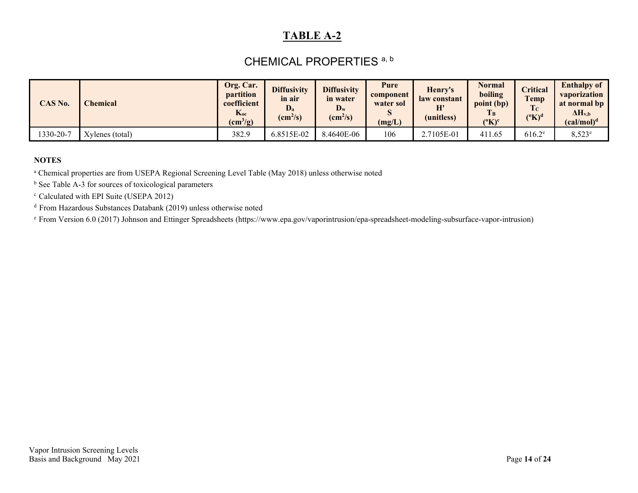### CHEMICAL PROPERTIES<sup>a, b</sup>

| CAS No.  | $\mathbb C$ hemical $\mathbb C$ | Org. Car.<br><i>partition</i><br>coefficient<br>$h$ <sub>oc</sub><br>$\text{(cm}^3\text{/g)}$ | <b>Diffusivity</b><br>in air<br>D,<br>$\text{(cm}^2\text{/s)}$ | <b>Diffusivity</b><br>in water<br>$\mathbf{D}_w$<br>$\text{(cm}^2\text{/s)}$ | Pure<br>component<br>water sol<br>IJ<br>(mg/L) | Henry's<br>law constant<br>H'<br>(unitless) | Normal<br>boiling<br>point (bp)<br>T <sub>B</sub><br>${}^{\circ}$ K) <sup>c</sup> | <b>Pritical</b><br><b>Temp</b><br>Tc<br>$({}^{\rm o}{\rm K})^{\rm d}$ | <b>Enthalpy of</b><br>vaporization<br>at normal bp<br>$\Delta H_{v,b}$<br>(cal/mol) <sup>d</sup> |
|----------|---------------------------------|-----------------------------------------------------------------------------------------------|----------------------------------------------------------------|------------------------------------------------------------------------------|------------------------------------------------|---------------------------------------------|-----------------------------------------------------------------------------------|-----------------------------------------------------------------------|--------------------------------------------------------------------------------------------------|
| 330-20-7 | Xylenes (total)                 | 382.9                                                                                         | 6.8515E-02                                                     | 8.4640E-06                                                                   | 106                                            | 2.7105E-01                                  | 411.65                                                                            | $616.2^e$                                                             | $8,523^{\circ}$                                                                                  |

#### **NOTES**

<sup>a</sup> Chemical properties are from USEPA Regional Screening Level Table (May 2018) unless otherwise noted

 $<sup>b</sup>$  See Table A-3 for sources of toxicological parameters</sup>

c Calculated with EPI Suite (USEPA 2012)

d From Hazardous Substances Databank (2019) unless otherwise noted

e From Version 6.0 (2017) Johnson and Ettinger Spreadsheets (https://www.epa.gov/vaporintrusion/epa-spreadsheet-modeling-subsurface-vapor-intrusion)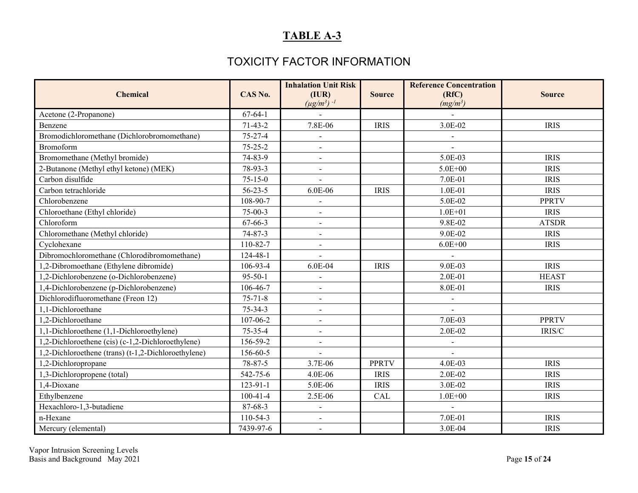### TOXICITY FACTOR INFORMATION

<span id="page-14-0"></span>

| <b>Chemical</b>                                     | CAS No.        | <b>Inhalation Unit Risk</b><br>(IVR)<br>$(\mu g/m^3)$ <sup>-1</sup> | <b>Source</b> | <b>Reference Concentration</b><br>(RfC)<br>$(mg/m^3)$ | <b>Source</b> |
|-----------------------------------------------------|----------------|---------------------------------------------------------------------|---------------|-------------------------------------------------------|---------------|
| Acetone (2-Propanone)                               | $67-64-1$      |                                                                     |               |                                                       |               |
| Benzene                                             | $71-43-2$      | 7.8E-06                                                             | <b>IRIS</b>   | 3.0E-02                                               | <b>IRIS</b>   |
| Bromodichloromethane (Dichlorobromomethane)         | $75 - 27 - 4$  |                                                                     |               | $\blacksquare$                                        |               |
| Bromoform                                           | $75 - 25 - 2$  | $\blacksquare$                                                      |               | $\blacksquare$                                        |               |
| Bromomethane (Methyl bromide)                       | 74-83-9        |                                                                     |               | 5.0E-03                                               | <b>IRIS</b>   |
| 2-Butanone (Methyl ethyl ketone) (MEK)              | 78-93-3        | $\blacksquare$                                                      |               | $5.0E + 00$                                           | <b>IRIS</b>   |
| Carbon disulfide                                    | $75 - 15 - 0$  |                                                                     |               | 7.0E-01                                               | <b>IRIS</b>   |
| Carbon tetrachloride                                | $56 - 23 - 5$  | 6.0E-06                                                             | <b>IRIS</b>   | $1.0E-01$                                             | <b>IRIS</b>   |
| Chlorobenzene                                       | 108-90-7       |                                                                     |               | 5.0E-02                                               | <b>PPRTV</b>  |
| Chloroethane (Ethyl chloride)                       | $75-00-3$      | $\sim$                                                              |               | $1.0E + 01$                                           | <b>IRIS</b>   |
| Chloroform                                          | 67-66-3        | $\blacksquare$                                                      |               | 9.8E-02                                               | <b>ATSDR</b>  |
| Chloromethane (Methyl chloride)                     | $74 - 87 - 3$  | $\blacksquare$                                                      |               | 9.0E-02                                               | <b>IRIS</b>   |
| Cyclohexane                                         | 110-82-7       |                                                                     |               | $6.0E + 00$                                           | <b>IRIS</b>   |
| Dibromochloromethane (Chlorodibromomethane)         | 124-48-1       |                                                                     |               |                                                       |               |
| 1,2-Dibromoethane (Ethylene dibromide)              | 106-93-4       | 6.0E-04                                                             | <b>IRIS</b>   | 9.0E-03                                               | <b>IRIS</b>   |
| 1,2-Dichlorobenzene (o-Dichlorobenzene)             | $95 - 50 - 1$  |                                                                     |               | 2.0E-01                                               | <b>HEAST</b>  |
| 1,4-Dichlorobenzene (p-Dichlorobenzene)             | 106-46-7       | $\blacksquare$                                                      |               | 8.0E-01                                               | <b>IRIS</b>   |
| Dichlorodifluoromethane (Freon 12)                  | $75 - 71 - 8$  | $\blacksquare$                                                      |               | $\blacksquare$                                        |               |
| 1.1-Dichloroethane                                  | $75 - 34 - 3$  | $\sim$                                                              |               | $\sim$                                                |               |
| 1,2-Dichloroethane                                  | $107 - 06 - 2$ | $\blacksquare$                                                      |               | 7.0E-03                                               | <b>PPRTV</b>  |
| 1,1-Dichloroethene (1,1-Dichloroethylene)           | $75 - 35 - 4$  |                                                                     |               | 2.0E-02                                               | IRIS/C        |
| 1,2-Dichloroethene (cis) (c-1,2-Dichloroethylene)   | 156-59-2       | $\blacksquare$                                                      |               | $\blacksquare$                                        |               |
| 1,2-Dichloroethene (trans) (t-1,2-Dichloroethylene) | 156-60-5       |                                                                     |               |                                                       |               |
| 1,2-Dichloropropane                                 | $78 - 87 - 5$  | 3.7E-06                                                             | <b>PPRTV</b>  | 4.0E-03                                               | <b>IRIS</b>   |
| 1,3-Dichloropropene (total)                         | 542-75-6       | 4.0E-06                                                             | <b>IRIS</b>   | 2.0E-02                                               | <b>IRIS</b>   |
| 1,4-Dioxane                                         | 123-91-1       | 5.0E-06                                                             | <b>IRIS</b>   | 3.0E-02                                               | <b>IRIS</b>   |
| Ethylbenzene                                        | $100 - 41 - 4$ | 2.5E-06                                                             | <b>CAL</b>    | $1.0E + 00$                                           | <b>IRIS</b>   |
| Hexachloro-1,3-butadiene                            | 87-68-3        | $\overline{\phantom{a}}$                                            |               |                                                       |               |
| n-Hexane                                            | 110-54-3       | $\blacksquare$                                                      |               | 7.0E-01                                               | <b>IRIS</b>   |
| Mercury (elemental)                                 | 7439-97-6      | $\blacksquare$                                                      |               | 3.0E-04                                               | <b>IRIS</b>   |

Vapor Intrusion Screening Levels Basis and Background May 2021 Page **15** of **24**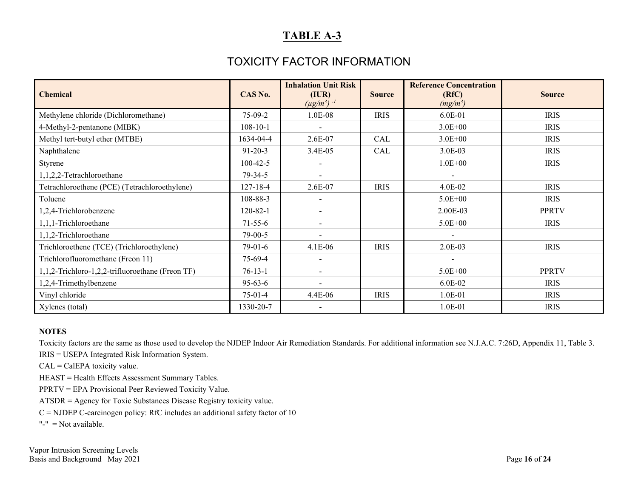### TOXICITY FACTOR INFORMATION

| <b>Chemical</b>                                  | CAS No.        | <b>Inhalation Unit Risk</b><br>(IVR)<br>$(\mu g/m^3)$ <sup>-1</sup> | <b>Source</b> | <b>Reference Concentration</b><br>(RfC)<br>$(mg/m^3)$ | <b>Source</b> |
|--------------------------------------------------|----------------|---------------------------------------------------------------------|---------------|-------------------------------------------------------|---------------|
| Methylene chloride (Dichloromethane)             | $75-09-2$      | 1.0E-08                                                             | <b>IRIS</b>   | 6.0E-01                                               | <b>IRIS</b>   |
| 4-Methyl-2-pentanone (MIBK)                      | $108 - 10 - 1$ |                                                                     |               | $3.0E + 00$                                           | <b>IRIS</b>   |
| Methyl tert-butyl ether (MTBE)                   | 1634-04-4      | $2.6E-07$                                                           | CAL           | $3.0E + 00$                                           | <b>IRIS</b>   |
| Naphthalene                                      | $91 - 20 - 3$  | 3.4E-05                                                             | CAL           | 3.0E-03                                               | <b>IRIS</b>   |
| Styrene                                          | $100 - 42 - 5$ |                                                                     |               | $1.0E + 00$                                           | <b>IRIS</b>   |
| 1,1,2,2-Tetrachloroethane                        | 79-34-5        |                                                                     |               |                                                       |               |
| Tetrachloroethene (PCE) (Tetrachloroethylene)    | 127-18-4       | 2.6E-07                                                             | <b>IRIS</b>   | 4.0E-02                                               | <b>IRIS</b>   |
| Toluene                                          | 108-88-3       |                                                                     |               | $5.0E + 00$                                           | <b>IRIS</b>   |
| 1,2,4-Trichlorobenzene                           | 120-82-1       | $\overline{\phantom{0}}$                                            |               | 2.00E-03                                              | <b>PPRTV</b>  |
| 1,1,1-Trichloroethane                            | $71-55-6$      | $\overline{\phantom{a}}$                                            |               | 5.0E+00                                               | <b>IRIS</b>   |
| 1,1,2-Trichloroethane                            | $79-00-5$      |                                                                     |               | $\overline{\phantom{a}}$                              |               |
| Trichloroethene (TCE) (Trichloroethylene)        | 79-01-6        | 4.1E-06                                                             | <b>IRIS</b>   | 2.0E-03                                               | <b>IRIS</b>   |
| Trichlorofluoromethane (Freon 11)                | 75-69-4        |                                                                     |               |                                                       |               |
| 1,1,2-Trichloro-1,2,2-trifluoroethane (Freon TF) | $76-13-1$      | $\overline{\phantom{a}}$                                            |               | $5.0E + 00$                                           | <b>PPRTV</b>  |
| 1,2,4-Trimethylbenzene                           | $95 - 63 - 6$  |                                                                     |               | 6.0E-02                                               | <b>IRIS</b>   |
| Vinyl chloride                                   | $75-01-4$      | 4.4E-06                                                             | <b>IRIS</b>   | 1.0E-01                                               | <b>IRIS</b>   |
| Xylenes (total)                                  | 1330-20-7      |                                                                     |               | 1.0E-01                                               | <b>IRIS</b>   |

#### **NOTES**

Toxicity factors are the same as those used to develop the NJDEP Indoor Air Remediation Standards. For additional information see N.J.A.C. 7:26D, Appendix 11, Table 3.

IRIS = USEPA Integrated Risk Information System.

CAL = CalEPA toxicity value.

HEAST = Health Effects Assessment Summary Tables.

PPRTV = EPA Provisional Peer Reviewed Toxicity Value.

ATSDR = Agency for Toxic Substances Disease Registry toxicity value.

 $C =$  NJDEP C-carcinogen policy: RfC includes an additional safety factor of 10

"-" = Not available.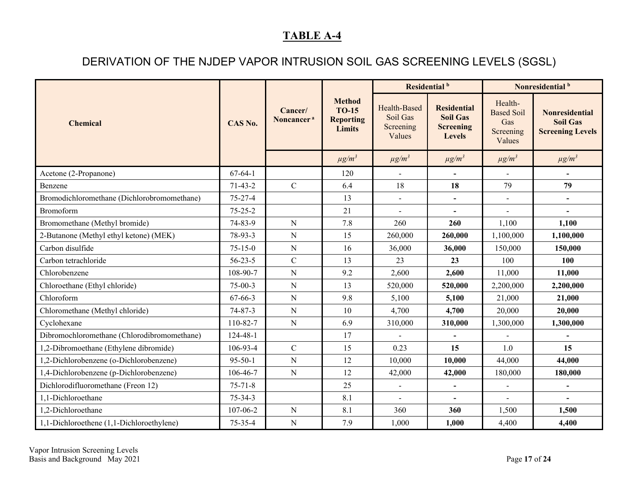## DERIVATION OF THE NJDEP VAPOR INTRUSION SOIL GAS SCREENING LEVELS (SGSL)

<span id="page-16-0"></span>

|                                             |                |                                   |                                                                    | Residential <sup>b</sup>                        |                                                                            | Nonresidential <sup>b</sup>                                |                                                                     |
|---------------------------------------------|----------------|-----------------------------------|--------------------------------------------------------------------|-------------------------------------------------|----------------------------------------------------------------------------|------------------------------------------------------------|---------------------------------------------------------------------|
| <b>Chemical</b>                             | CAS No.        | Cancer/<br>Noncancer <sup>a</sup> | <b>Method</b><br><b>TO-15</b><br><b>Reporting</b><br><b>Limits</b> | Health-Based<br>Soil Gas<br>Screening<br>Values | <b>Residential</b><br><b>Soil Gas</b><br><b>Screening</b><br><b>Levels</b> | Health-<br><b>Based Soil</b><br>Gas<br>Screening<br>Values | <b>Nonresidential</b><br><b>Soil Gas</b><br><b>Screening Levels</b> |
|                                             |                |                                   | $\mu g/m^3$                                                        | $\mu g/m^3$                                     | $\mu g/m^3$                                                                | $\mu g/m^3$                                                | $\mu g/m^3$                                                         |
| Acetone (2-Propanone)                       | $67 - 64 - 1$  |                                   | 120                                                                | $\overline{\phantom{a}}$                        | $\blacksquare$                                                             | $\overline{\phantom{a}}$                                   | $\overline{\phantom{a}}$                                            |
| Benzene                                     | $71-43-2$      | $\mathcal{C}$                     | 6.4                                                                | 18                                              | 18                                                                         | 79                                                         | 79                                                                  |
| Bromodichloromethane (Dichlorobromomethane) | $75 - 27 - 4$  |                                   | 13                                                                 | $\blacksquare$                                  | $\overline{\phantom{a}}$                                                   | $\blacksquare$                                             | $\qquad \qquad \blacksquare$                                        |
| Bromoform                                   | $75 - 25 - 2$  |                                   | 21                                                                 |                                                 | $\blacksquare$                                                             |                                                            |                                                                     |
| Bromomethane (Methyl bromide)               | 74-83-9        | ${\bf N}$                         | 7.8                                                                | 260                                             | 260                                                                        | 1,100                                                      | 1,100                                                               |
| 2-Butanone (Methyl ethyl ketone) (MEK)      | 78-93-3        | ${\bf N}$                         | 15                                                                 | 260,000                                         | 260,000                                                                    | 1,100,000                                                  | 1,100,000                                                           |
| Carbon disulfide                            | $75 - 15 - 0$  | ${\bf N}$                         | 16                                                                 | 36,000                                          | 36,000                                                                     | 150,000                                                    | 150,000                                                             |
| Carbon tetrachloride                        | $56 - 23 - 5$  | $\mathbf C$                       | 13                                                                 | 23                                              | 23                                                                         | 100                                                        | 100                                                                 |
| Chlorobenzene                               | 108-90-7       | ${\bf N}$                         | 9.2                                                                | 2,600                                           | 2,600                                                                      | 11,000                                                     | 11,000                                                              |
| Chloroethane (Ethyl chloride)               | $75-00-3$      | ${\bf N}$                         | 13                                                                 | 520,000                                         | 520,000                                                                    | 2,200,000                                                  | 2,200,000                                                           |
| Chloroform                                  | 67-66-3        | ${\bf N}$                         | 9.8                                                                | 5,100                                           | 5,100                                                                      | 21,000                                                     | 21,000                                                              |
| Chloromethane (Methyl chloride)             | $74 - 87 - 3$  | ${\bf N}$                         | 10                                                                 | 4,700                                           | 4,700                                                                      | 20,000                                                     | 20,000                                                              |
| Cyclohexane                                 | 110-82-7       | ${\bf N}$                         | 6.9                                                                | 310,000                                         | 310,000                                                                    | 1,300,000                                                  | 1,300,000                                                           |
| Dibromochloromethane (Chlorodibromomethane) | $124 - 48 - 1$ |                                   | 17                                                                 |                                                 |                                                                            |                                                            |                                                                     |
| 1,2-Dibromoethane (Ethylene dibromide)      | 106-93-4       | $\mathcal{C}$                     | 15                                                                 | 0.23                                            | 15                                                                         | 1.0                                                        | 15                                                                  |
| 1,2-Dichlorobenzene (o-Dichlorobenzene)     | $95 - 50 - 1$  | ${\bf N}$                         | 12                                                                 | 10,000                                          | 10,000                                                                     | 44,000                                                     | 44,000                                                              |
| 1,4-Dichlorobenzene (p-Dichlorobenzene)     | 106-46-7       | ${\bf N}$                         | 12                                                                 | 42,000                                          | 42,000                                                                     | 180,000                                                    | 180,000                                                             |
| Dichlorodifluoromethane (Freon 12)          | $75 - 71 - 8$  |                                   | 25                                                                 |                                                 | $\overline{\phantom{a}}$                                                   | $\blacksquare$                                             |                                                                     |
| 1,1-Dichloroethane                          | $75 - 34 - 3$  |                                   | 8.1                                                                |                                                 | $\overline{\phantom{a}}$                                                   |                                                            |                                                                     |
| 1,2-Dichloroethane                          | 107-06-2       | ${\bf N}$                         | 8.1                                                                | 360                                             | 360                                                                        | 1,500                                                      | 1,500                                                               |
| 1,1-Dichloroethene (1,1-Dichloroethylene)   | $75 - 35 - 4$  | ${\bf N}$                         | 7.9                                                                | 1,000                                           | 1,000                                                                      | 4,400                                                      | 4,400                                                               |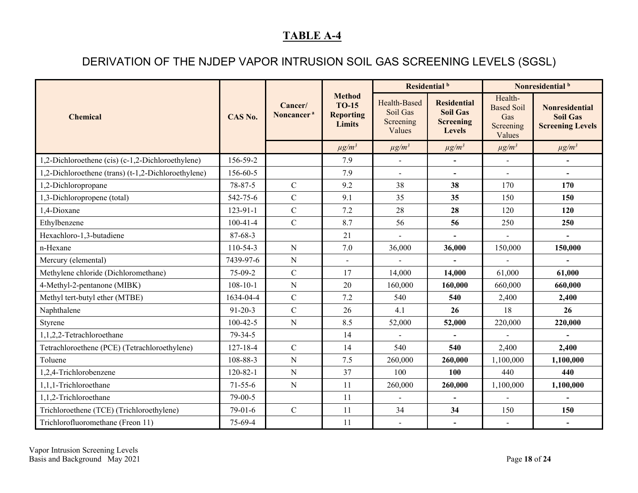## DERIVATION OF THE NJDEP VAPOR INTRUSION SOIL GAS SCREENING LEVELS (SGSL)

|                                                     |                |                                   |                                                             | Residential <sup>b</sup>                        |                                                                            | Nonresidential <sup>b</sup>                                |                                                                     |
|-----------------------------------------------------|----------------|-----------------------------------|-------------------------------------------------------------|-------------------------------------------------|----------------------------------------------------------------------------|------------------------------------------------------------|---------------------------------------------------------------------|
| <b>Chemical</b>                                     | CAS No.        | Cancer/<br>Noncancer <sup>a</sup> | <b>Method</b><br><b>TO-15</b><br><b>Reporting</b><br>Limits | Health-Based<br>Soil Gas<br>Screening<br>Values | <b>Residential</b><br><b>Soil Gas</b><br><b>Screening</b><br><b>Levels</b> | Health-<br><b>Based Soil</b><br>Gas<br>Screening<br>Values | <b>Nonresidential</b><br><b>Soil Gas</b><br><b>Screening Levels</b> |
|                                                     |                |                                   | $\mu g/m^3$                                                 | $\mu g/m^3$                                     | $\mu g/m^3$                                                                | $\mu g/m^3$                                                | $\mu g/m^3$                                                         |
| 1,2-Dichloroethene (cis) (c-1,2-Dichloroethylene)   | 156-59-2       |                                   | 7.9                                                         | $\blacksquare$                                  | $\overline{\phantom{a}}$                                                   | $\blacksquare$                                             |                                                                     |
| 1,2-Dichloroethene (trans) (t-1,2-Dichloroethylene) | 156-60-5       |                                   | 7.9                                                         | $\overline{\phantom{a}}$                        | $\overline{\phantom{a}}$                                                   | $\overline{a}$                                             | $\overline{\phantom{a}}$                                            |
| 1,2-Dichloropropane                                 | $78 - 87 - 5$  | $\mathbf C$                       | 9.2                                                         | 38                                              | 38                                                                         | 170                                                        | 170                                                                 |
| 1,3-Dichloropropene (total)                         | 542-75-6       | $\mathcal{C}$                     | 9.1                                                         | 35                                              | 35                                                                         | 150                                                        | 150                                                                 |
| 1,4-Dioxane                                         | 123-91-1       | $\mathbf C$                       | 7.2                                                         | 28                                              | 28                                                                         | 120                                                        | 120                                                                 |
| Ethylbenzene                                        | $100-41-4$     | $\mathbf C$                       | 8.7                                                         | 56                                              | 56                                                                         | 250                                                        | 250                                                                 |
| Hexachloro-1,3-butadiene                            | 87-68-3        |                                   | 21                                                          | $\overline{a}$                                  | $\blacksquare$                                                             | $\mathbf{r}$                                               | $\blacksquare$                                                      |
| n-Hexane                                            | $110-54-3$     | ${\bf N}$                         | 7.0                                                         | 36,000                                          | 36,000                                                                     | 150,000                                                    | 150,000                                                             |
| Mercury (elemental)                                 | 7439-97-6      | ${\bf N}$                         |                                                             |                                                 |                                                                            |                                                            |                                                                     |
| Methylene chloride (Dichloromethane)                | 75-09-2        | $\mathcal{C}$                     | 17                                                          | 14,000                                          | 14,000                                                                     | 61,000                                                     | 61,000                                                              |
| 4-Methyl-2-pentanone (MIBK)                         | $108 - 10 - 1$ | ${\bf N}$                         | 20                                                          | 160,000                                         | 160,000                                                                    | 660,000                                                    | 660,000                                                             |
| Methyl tert-butyl ether (MTBE)                      | 1634-04-4      | $\mathcal{C}$                     | 7.2                                                         | 540                                             | 540                                                                        | 2,400                                                      | 2,400                                                               |
| Naphthalene                                         | $91 - 20 - 3$  | $\mathsf{C}$                      | 26                                                          | 4.1                                             | 26                                                                         | 18                                                         | 26                                                                  |
| Styrene                                             | $100 - 42 - 5$ | ${\bf N}$                         | 8.5                                                         | 52,000                                          | 52,000                                                                     | 220,000                                                    | 220,000                                                             |
| 1,1,2,2-Tetrachloroethane                           | 79-34-5        |                                   | 14                                                          |                                                 |                                                                            |                                                            |                                                                     |
| Tetrachloroethene (PCE) (Tetrachloroethylene)       | $127 - 18 - 4$ | $\mathcal{C}$                     | 14                                                          | 540                                             | 540                                                                        | 2,400                                                      | 2,400                                                               |
| Toluene                                             | 108-88-3       | ${\bf N}$                         | 7.5                                                         | 260,000                                         | 260,000                                                                    | 1,100,000                                                  | 1,100,000                                                           |
| 1,2,4-Trichlorobenzene                              | $120 - 82 - 1$ | ${\bf N}$                         | 37                                                          | 100                                             | 100                                                                        | 440                                                        | 440                                                                 |
| 1,1,1-Trichloroethane                               | $71 - 55 - 6$  | ${\bf N}$                         | 11                                                          | 260,000                                         | 260,000                                                                    | 1,100,000                                                  | 1,100,000                                                           |
| 1,1,2-Trichloroethane                               | 79-00-5        |                                   | 11                                                          |                                                 | $\overline{\phantom{a}}$                                                   |                                                            |                                                                     |
| Trichloroethene (TCE) (Trichloroethylene)           | $79-01-6$      | $\mathsf{C}$                      | 11                                                          | 34                                              | 34                                                                         | 150                                                        | 150                                                                 |
| Trichlorofluoromethane (Freon 11)                   | 75-69-4        |                                   | 11                                                          | $\blacksquare$                                  | $\overline{\phantom{a}}$                                                   | $\overline{\phantom{a}}$                                   | $\overline{\phantom{a}}$                                            |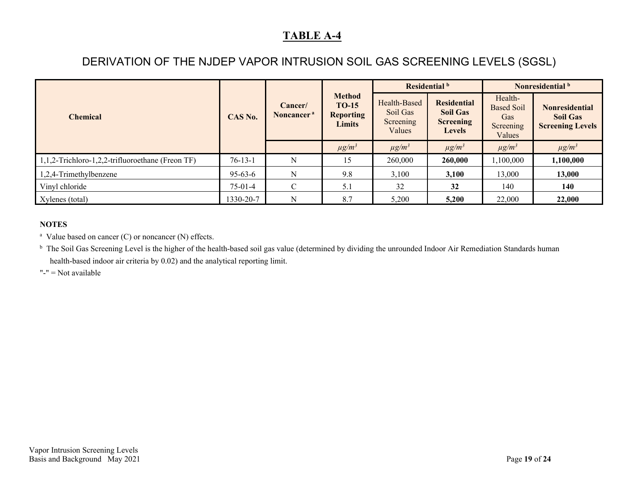## DERIVATION OF THE NJDEP VAPOR INTRUSION SOIL GAS SCREENING LEVELS (SGSL)

|                                                     |           |                                   |                                                             |                                                 | Residential b                                                              | Nonresidential <sup>b</sup>                                |                                                                     |
|-----------------------------------------------------|-----------|-----------------------------------|-------------------------------------------------------------|-------------------------------------------------|----------------------------------------------------------------------------|------------------------------------------------------------|---------------------------------------------------------------------|
| <b>Chemical</b>                                     | CAS No.   | Cancer/<br>Noncancer <sup>a</sup> | <b>Method</b><br><b>TO-15</b><br><b>Reporting</b><br>Limits | Health-Based<br>Soil Gas<br>Screening<br>Values | <b>Residential</b><br><b>Soil Gas</b><br><b>Screening</b><br><b>Levels</b> | Health-<br><b>Based Soil</b><br>Gas<br>Screening<br>Values | <b>Nonresidential</b><br><b>Soil Gas</b><br><b>Screening Levels</b> |
|                                                     |           |                                   | $\mu g/m^3$                                                 | $\mu g/m^3$                                     | $\mu g/m^3$                                                                | $\mu g/m^3$                                                | $\mu g/m^3$                                                         |
| $1,1,2$ -Trichloro-1,2,2-trifluoroethane (Freon TF) | $76-13-1$ | N                                 | 15                                                          | 260,000                                         | 260,000                                                                    | 1,100,000                                                  | 1,100,000                                                           |
| 1,2,4-Trimethylbenzene                              | 95-63-6   | N                                 | 9.8                                                         | 3,100                                           | 3.100                                                                      | 13,000                                                     | 13,000                                                              |
| Vinyl chloride                                      | $75-01-4$ | $\mathbf{C}$                      | 5.1                                                         | 32                                              | 32                                                                         | 140                                                        | 140                                                                 |
| Xylenes (total)                                     | 1330-20-7 | N                                 | 8.7                                                         | 5,200                                           | 5,200                                                                      | 22,000                                                     | 22,000                                                              |

#### **NOTES**

<sup>a</sup> Value based on cancer (C) or noncancer (N) effects.

<sup>b</sup> The Soil Gas Screening Level is the higher of the health-based soil gas value (determined by dividing the unrounded Indoor Air Remediation Standards human health-based indoor air criteria by 0.02) and the analytical reporting limit.

"-" = Not available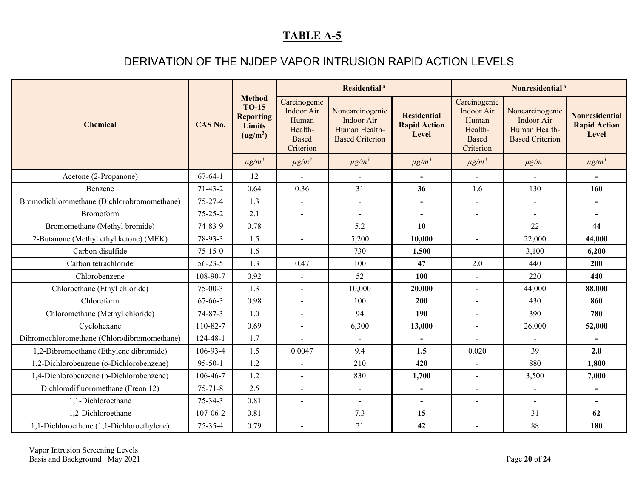### DERIVATION OF THE NJDEP VAPOR INTRUSION RAPID ACTION LEVELS

<span id="page-19-0"></span>

| <b>Chemical</b>                             | CAS No.       |                                                                                     | Residential <sup>a</sup>                                                    |                                                                          |                                                    | Nonresidential <sup>a</sup>                                                        |                                                                          |                                                       |
|---------------------------------------------|---------------|-------------------------------------------------------------------------------------|-----------------------------------------------------------------------------|--------------------------------------------------------------------------|----------------------------------------------------|------------------------------------------------------------------------------------|--------------------------------------------------------------------------|-------------------------------------------------------|
|                                             |               | <b>Method</b><br><b>TO-15</b><br><b>Reporting</b><br><b>Limits</b><br>$(\mu g/m^3)$ | Carcinogenic<br>Indoor Air<br>Human<br>Health-<br><b>Based</b><br>Criterion | Noncarcinogenic<br>Indoor Air<br>Human Health-<br><b>Based Criterion</b> | <b>Residential</b><br><b>Rapid Action</b><br>Level | Carcinogenic<br><b>Indoor Air</b><br>Human<br>Health-<br><b>Based</b><br>Criterion | Noncarcinogenic<br>Indoor Air<br>Human Health-<br><b>Based Criterion</b> | <b>Nonresidential</b><br><b>Rapid Action</b><br>Level |
|                                             |               | $\mu g/m^3$                                                                         | $\mu g/m^3$                                                                 | $\mu g/m^3$                                                              | $\mu g/m^3$                                        | $\mu g/m^3$                                                                        | $\mu g/m^3$                                                              | $\mu g/m^3$                                           |
| Acetone (2-Propanone)                       | $67-64-1$     | 12                                                                                  | $\blacksquare$                                                              | $\blacksquare$                                                           | $\blacksquare$                                     | $\blacksquare$                                                                     | $\sim$                                                                   | $\overline{\phantom{a}}$                              |
| Benzene                                     | $71-43-2$     | 0.64                                                                                | 0.36                                                                        | 31                                                                       | 36                                                 | 1.6                                                                                | 130                                                                      | 160                                                   |
| Bromodichloromethane (Dichlorobromomethane) | $75 - 27 - 4$ | 1.3                                                                                 | $\blacksquare$                                                              | $\blacksquare$                                                           |                                                    | $\overline{\phantom{a}}$                                                           | $\blacksquare$                                                           | $\overline{\phantom{a}}$                              |
| Bromoform                                   | $75 - 25 - 2$ | 2.1                                                                                 | $\overline{a}$                                                              | $\sim$                                                                   | $\blacksquare$                                     | $\blacksquare$                                                                     | $\sim$                                                                   | $\blacksquare$                                        |
| Bromomethane (Methyl bromide)               | 74-83-9       | 0.78                                                                                | $\overline{a}$                                                              | 5.2                                                                      | 10                                                 | $\blacksquare$                                                                     | 22                                                                       | 44                                                    |
| 2-Butanone (Methyl ethyl ketone) (MEK)      | 78-93-3       | 1.5                                                                                 | $\overline{a}$                                                              | 5,200                                                                    | 10,000                                             | $\overline{a}$                                                                     | 22,000                                                                   | 44,000                                                |
| Carbon disulfide                            | $75 - 15 - 0$ | 1.6                                                                                 | $\overline{a}$                                                              | 730                                                                      | 1,500                                              | $\overline{a}$                                                                     | 3,100                                                                    | 6,200                                                 |
| Carbon tetrachloride                        | $56 - 23 - 5$ | 1.3                                                                                 | 0.47                                                                        | 100                                                                      | 47                                                 | 2.0                                                                                | 440                                                                      | 200                                                   |
| Chlorobenzene                               | 108-90-7      | 0.92                                                                                | $\overline{a}$                                                              | 52                                                                       | 100                                                |                                                                                    | 220                                                                      | 440                                                   |
| Chloroethane (Ethyl chloride)               | $75 - 00 - 3$ | 1.3                                                                                 | $\overline{a}$                                                              | 10,000                                                                   | 20,000                                             | $\blacksquare$                                                                     | 44,000                                                                   | 88,000                                                |
| Chloroform                                  | 67-66-3       | 0.98                                                                                |                                                                             | 100                                                                      | 200                                                | $\blacksquare$                                                                     | 430                                                                      | 860                                                   |
| Chloromethane (Methyl chloride)             | $74 - 87 - 3$ | 1.0                                                                                 | $\overline{a}$                                                              | 94                                                                       | 190                                                | $\overline{a}$                                                                     | 390                                                                      | 780                                                   |
| Cyclohexane                                 | 110-82-7      | 0.69                                                                                | $\overline{a}$                                                              | 6,300                                                                    | 13,000                                             | $\blacksquare$                                                                     | 26,000                                                                   | 52,000                                                |
| Dibromochloromethane (Chlorodibromomethane) | 124-48-1      | 1.7                                                                                 |                                                                             |                                                                          |                                                    |                                                                                    |                                                                          |                                                       |
| 1,2-Dibromoethane (Ethylene dibromide)      | 106-93-4      | 1.5                                                                                 | 0.0047                                                                      | 9.4                                                                      | 1.5                                                | 0.020                                                                              | 39                                                                       | 2.0                                                   |
| 1,2-Dichlorobenzene (o-Dichlorobenzene)     | $95 - 50 - 1$ | 1.2                                                                                 | $\blacksquare$                                                              | 210                                                                      | 420                                                | $\blacksquare$                                                                     | 880                                                                      | 1,800                                                 |
| 1,4-Dichlorobenzene (p-Dichlorobenzene)     | 106-46-7      | 1.2                                                                                 | $\overline{a}$                                                              | 830                                                                      | 1,700                                              | $\overline{a}$                                                                     | 3,500                                                                    | 7,000                                                 |
| Dichlorodifluoromethane (Freon 12)          | $75 - 71 - 8$ | 2.5                                                                                 | $\blacksquare$                                                              | $\blacksquare$                                                           | $\blacksquare$                                     | $\overline{\phantom{0}}$                                                           | $\blacksquare$                                                           |                                                       |
| 1,1-Dichloroethane                          | $75 - 34 - 3$ | 0.81                                                                                | $\overline{a}$                                                              | $\overline{\phantom{a}}$                                                 | $\overline{\phantom{0}}$                           | $\overline{a}$                                                                     | $\overline{a}$                                                           | $\blacksquare$                                        |
| 1,2-Dichloroethane                          | 107-06-2      | 0.81                                                                                |                                                                             | 7.3                                                                      | 15                                                 |                                                                                    | 31                                                                       | 62                                                    |
| 1,1-Dichloroethene (1,1-Dichloroethylene)   | $75 - 35 - 4$ | 0.79                                                                                | $\blacksquare$                                                              | 21                                                                       | 42                                                 | $\overline{a}$                                                                     | 88                                                                       | 180                                                   |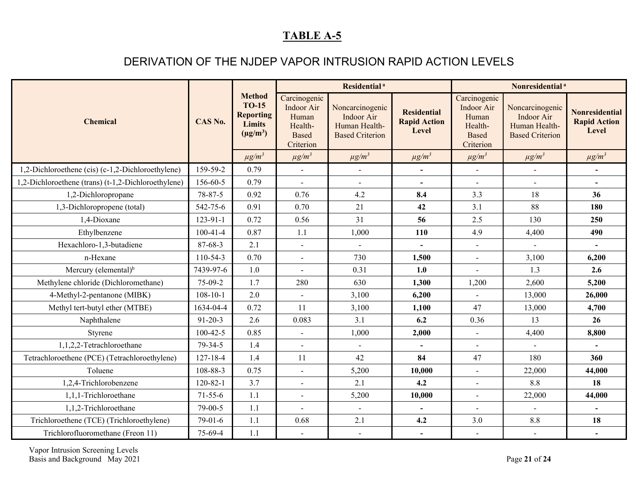### DERIVATION OF THE NJDEP VAPOR INTRUSION RAPID ACTION LEVELS

| <b>Chemical</b>                                     | CAS No.        |                                                                                     | Residential <sup>a</sup>                                                    |                                                                                 |                                                    | Nonresidential <sup>a</sup>                                                        |                                                                          |                                                       |
|-----------------------------------------------------|----------------|-------------------------------------------------------------------------------------|-----------------------------------------------------------------------------|---------------------------------------------------------------------------------|----------------------------------------------------|------------------------------------------------------------------------------------|--------------------------------------------------------------------------|-------------------------------------------------------|
|                                                     |                | <b>Method</b><br><b>TO-15</b><br><b>Reporting</b><br><b>Limits</b><br>$(\mu g/m^3)$ | Carcinogenic<br>Indoor Air<br>Human<br>Health-<br><b>Based</b><br>Criterion | Noncarcinogenic<br><b>Indoor Air</b><br>Human Health-<br><b>Based Criterion</b> | <b>Residential</b><br><b>Rapid Action</b><br>Level | Carcinogenic<br><b>Indoor Air</b><br>Human<br>Health-<br><b>Based</b><br>Criterion | Noncarcinogenic<br>Indoor Air<br>Human Health-<br><b>Based Criterion</b> | <b>Nonresidential</b><br><b>Rapid Action</b><br>Level |
|                                                     |                | $\mu g/m^3$                                                                         | $\mu g/m^3$                                                                 | $\mu g/m^3$                                                                     | $\mu g/m^3$                                        | $\mu g/m^3$                                                                        | $\mu g/m^3$                                                              | $\mu g/m^3$                                           |
| 1,2-Dichloroethene (cis) (c-1,2-Dichloroethylene)   | 159-59-2       | 0.79                                                                                |                                                                             |                                                                                 |                                                    |                                                                                    |                                                                          |                                                       |
| 1,2-Dichloroethene (trans) (t-1,2-Dichloroethylene) | 156-60-5       | 0.79                                                                                |                                                                             | $\blacksquare$                                                                  |                                                    | $\blacksquare$                                                                     |                                                                          | $\blacksquare$                                        |
| 1,2-Dichloropropane                                 | 78-87-5        | 0.92                                                                                | 0.76                                                                        | 4.2                                                                             | 8.4                                                | 3.3                                                                                | 18                                                                       | 36                                                    |
| 1,3-Dichloropropene (total)                         | 542-75-6       | 0.91                                                                                | 0.70                                                                        | 21                                                                              | 42                                                 | 3.1                                                                                | 88                                                                       | 180                                                   |
| 1,4-Dioxane                                         | $123 - 91 - 1$ | 0.72                                                                                | 0.56                                                                        | 31                                                                              | 56                                                 | 2.5                                                                                | 130                                                                      | 250                                                   |
| Ethylbenzene                                        | $100-41-4$     | 0.87                                                                                | 1.1                                                                         | 1,000                                                                           | 110                                                | 4.9                                                                                | 4,400                                                                    | 490                                                   |
| Hexachloro-1,3-butadiene                            | 87-68-3        | 2.1                                                                                 | $\overline{a}$                                                              | $\blacksquare$                                                                  |                                                    | $\blacksquare$                                                                     |                                                                          | $\blacksquare$                                        |
| n-Hexane                                            | 110-54-3       | 0.70                                                                                |                                                                             | 730                                                                             | 1,500                                              | $\sim$                                                                             | 3,100                                                                    | 6,200                                                 |
| Mercury (elemental) $b$                             | 7439-97-6      | 1.0                                                                                 | $\overline{a}$                                                              | 0.31                                                                            | 1.0                                                |                                                                                    | 1.3                                                                      | 2.6                                                   |
| Methylene chloride (Dichloromethane)                | 75-09-2        | 1.7                                                                                 | 280                                                                         | 630                                                                             | 1,300                                              | 1,200                                                                              | 2,600                                                                    | 5,200                                                 |
| 4-Methyl-2-pentanone (MIBK)                         | $108 - 10 - 1$ | 2.0                                                                                 |                                                                             | 3,100                                                                           | 6,200                                              |                                                                                    | 13,000                                                                   | 26,000                                                |
| Methyl tert-butyl ether (MTBE)                      | 1634-04-4      | 0.72                                                                                | 11                                                                          | 3,100                                                                           | 1,100                                              | 47                                                                                 | 13,000                                                                   | 4,700                                                 |
| Naphthalene                                         | $91 - 20 - 3$  | 2.6                                                                                 | 0.083                                                                       | 3.1                                                                             | 6.2                                                | 0.36                                                                               | 13                                                                       | 26                                                    |
| Styrene                                             | $100-42-5$     | 0.85                                                                                | $\overline{a}$                                                              | 1,000                                                                           | 2,000                                              |                                                                                    | 4,400                                                                    | 8,800                                                 |
| 1,1,2,2-Tetrachloroethane                           | 79-34-5        | 1.4                                                                                 | $\sim$                                                                      | $\blacksquare$                                                                  |                                                    | $\blacksquare$                                                                     | $\blacksquare$                                                           |                                                       |
| Tetrachloroethene (PCE) (Tetrachloroethylene)       | $127 - 18 - 4$ | 1.4                                                                                 | 11                                                                          | 42                                                                              | 84                                                 | 47                                                                                 | 180                                                                      | 360                                                   |
| Toluene                                             | 108-88-3       | 0.75                                                                                | $\overline{a}$                                                              | 5,200                                                                           | 10,000                                             | $\sim$                                                                             | 22,000                                                                   | 44,000                                                |
| 1,2,4-Trichlorobenzene                              | $120 - 82 - 1$ | 3.7                                                                                 | $\overline{a}$                                                              | 2.1                                                                             | 4.2                                                | $\overline{a}$                                                                     | 8.8                                                                      | 18                                                    |
| 1,1,1-Trichloroethane                               | $71 - 55 - 6$  | 1.1                                                                                 | $\overline{a}$                                                              | 5,200                                                                           | 10,000                                             | $\overline{\phantom{a}}$                                                           | 22,000                                                                   | 44,000                                                |
| 1,1,2-Trichloroethane                               | $79 - 00 - 5$  | 1.1                                                                                 |                                                                             | $\mathbf{r}$                                                                    |                                                    | $\overline{a}$                                                                     | $\overline{a}$                                                           |                                                       |
| Trichloroethene (TCE) (Trichloroethylene)           | 79-01-6        | 1.1                                                                                 | 0.68                                                                        | 2.1                                                                             | 4.2                                                | 3.0                                                                                | $8.8\,$                                                                  | 18                                                    |
| Trichlorofluoromethane (Freon 11)                   | 75-69-4        | 1.1                                                                                 | $\blacksquare$                                                              | $\sim$                                                                          | $\overline{\phantom{a}}$                           | $\overline{\phantom{a}}$                                                           | $\overline{\phantom{a}}$                                                 |                                                       |

Vapor Intrusion Screening Levels Basis and Background May 2021 Page **21** of **24**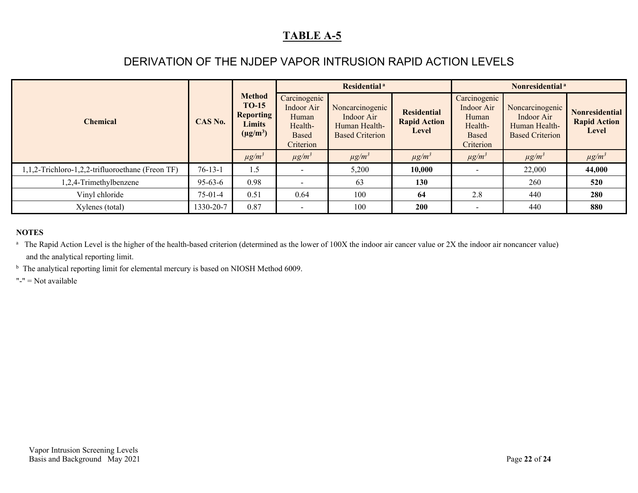### DERIVATION OF THE NJDEP VAPOR INTRUSION RAPID ACTION LEVELS

| <b>Chemical</b>                                  | CAS No.       | <b>Method</b><br><b>TO-15</b><br><b>Reporting</b><br><b>Limits</b><br>$(\mu g/m^3)$ |                                                                      | Residential <sup>a</sup>                                                 |                                                    | Nonresidential <sup>a</sup>                                                 |                                                                          |                                                              |  |
|--------------------------------------------------|---------------|-------------------------------------------------------------------------------------|----------------------------------------------------------------------|--------------------------------------------------------------------------|----------------------------------------------------|-----------------------------------------------------------------------------|--------------------------------------------------------------------------|--------------------------------------------------------------|--|
|                                                  |               |                                                                                     | Carcinogenic<br>Indoor Air<br>Human<br>Health-<br>Based<br>Criterion | Noncarcinogenic<br>Indoor Air<br>Human Health-<br><b>Based Criterion</b> | <b>Residential</b><br><b>Rapid Action</b><br>Level | Carcinogenic<br>Indoor Air<br>Human<br>Health-<br><b>Based</b><br>Criterion | Noncarcinogenic<br>Indoor Air<br>Human Health-<br><b>Based Criterion</b> | <b>Nonresidential</b><br><b>Rapid Action</b><br><b>Level</b> |  |
|                                                  |               | $\mu g/m^3$                                                                         | $\mu g/m^3$                                                          | $\mu g/m^3$                                                              | $\mu g/m^3$                                        | $\mu g/m^3$                                                                 | $\mu g/m^3$                                                              | $\mu g/m^3$                                                  |  |
| 1,1,2-Trichloro-1,2,2-trifluoroethane (Freon TF) | $76 - 13 - 1$ | 1.5                                                                                 |                                                                      | 5,200                                                                    | 10,000                                             |                                                                             | 22,000                                                                   | 44,000                                                       |  |
| 1,2,4-Trimethylbenzene                           | $95 - 63 - 6$ | 0.98                                                                                | $\blacksquare$                                                       | 63                                                                       | 130                                                |                                                                             | 260                                                                      | 520                                                          |  |
| Vinyl chloride                                   | $75-01-4$     | 0.51                                                                                | 0.64                                                                 | 100                                                                      | 64                                                 | 2.8                                                                         | 440                                                                      | 280                                                          |  |
| Xylenes (total)                                  | 1330-20-7     | 0.87                                                                                |                                                                      | 100                                                                      | 200                                                |                                                                             | 440                                                                      | 880                                                          |  |

#### **NOTES**

<sup>a</sup> The Rapid Action Level is the higher of the health-based criterion (determined as the lower of 100X the indoor air cancer value or 2X the indoor air noncancer value) and the analytical reporting limit.

<sup>b</sup> The analytical reporting limit for elemental mercury is based on NIOSH Method 6009.

"-" = Not available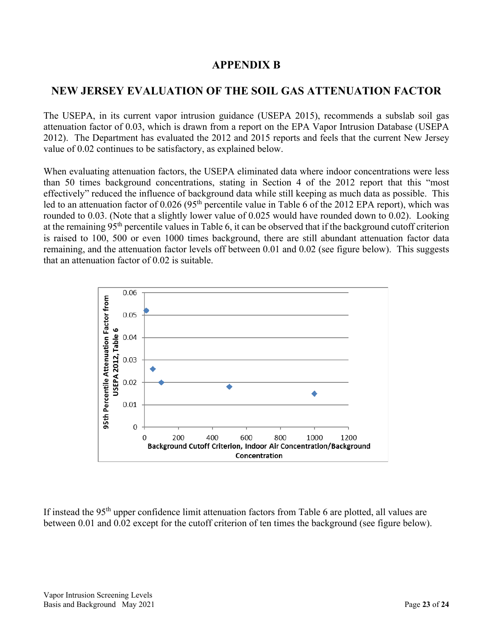#### **APPENDIX B**

### <span id="page-22-0"></span>**NEW JERSEY EVALUATION OF THE SOIL GAS ATTENUATION FACTOR**

The USEPA, in its current vapor intrusion guidance (USEPA 2015), recommends a subslab soil gas attenuation factor of 0.03, which is drawn from a report on the EPA Vapor Intrusion Database (USEPA 2012). The Department has evaluated the 2012 and 2015 reports and feels that the current New Jersey value of 0.02 continues to be satisfactory, as explained below.

When evaluating attenuation factors, the USEPA eliminated data where indoor concentrations were less than 50 times background concentrations, stating in Section 4 of the 2012 report that this "most effectively" reduced the influence of background data while still keeping as much data as possible. This led to an attenuation factor of 0.026 (95<sup>th</sup> percentile value in Table 6 of the 2012 EPA report), which was rounded to 0.03. (Note that a slightly lower value of 0.025 would have rounded down to 0.02). Looking at the remaining 95th percentile values in Table 6, it can be observed that if the background cutoff criterion is raised to 100, 500 or even 1000 times background, there are still abundant attenuation factor data remaining, and the attenuation factor levels off between 0.01 and 0.02 (see figure below). This suggests that an attenuation factor of 0.02 is suitable.



If instead the 95<sup>th</sup> upper confidence limit attenuation factors from Table 6 are plotted, all values are between 0.01 and 0.02 except for the cutoff criterion of ten times the background (see figure below).